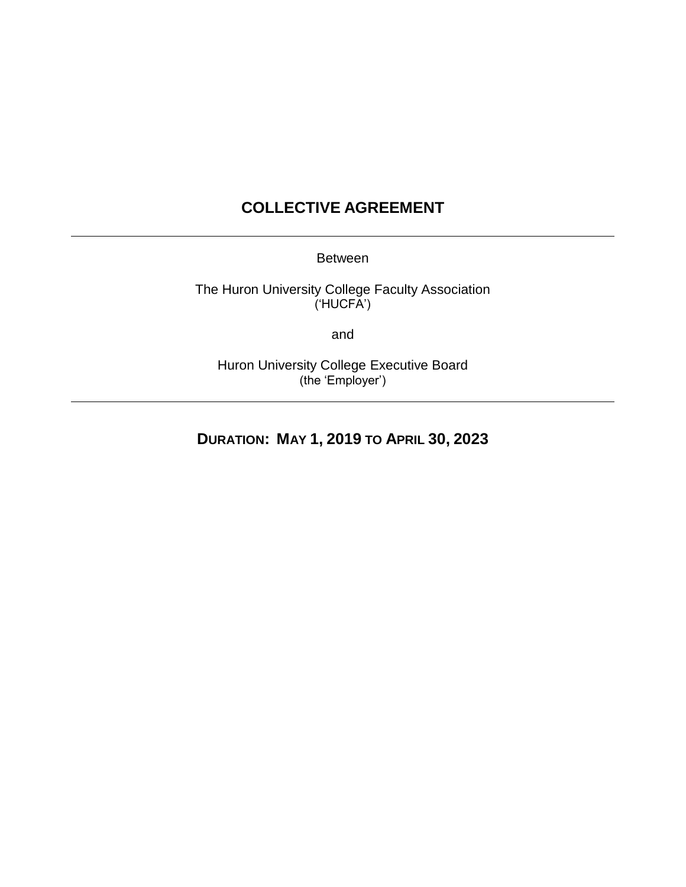# **COLLECTIVE AGREEMENT**

Between

The Huron University College Faculty Association ('HUCFA')

and

Huron University College Executive Board (the 'Employer')

**DURATION: MAY 1, 2019 TO APRIL 30, 2023**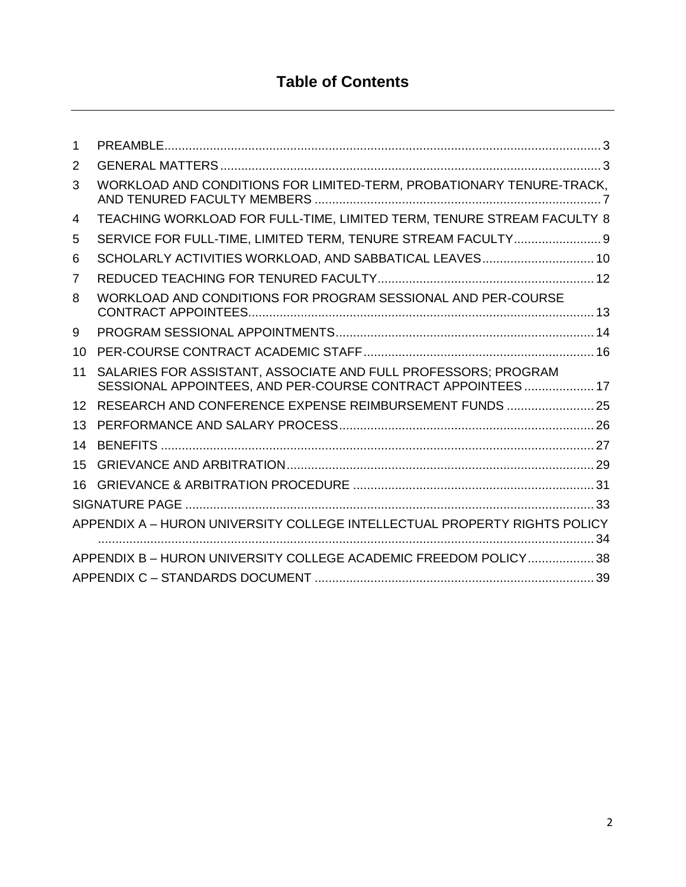# **Table of Contents**

| 1                                                                |                                                                                                                                |  |  |
|------------------------------------------------------------------|--------------------------------------------------------------------------------------------------------------------------------|--|--|
| 2                                                                |                                                                                                                                |  |  |
| 3                                                                | WORKLOAD AND CONDITIONS FOR LIMITED-TERM, PROBATIONARY TENURE-TRACK,                                                           |  |  |
| 4                                                                | TEACHING WORKLOAD FOR FULL-TIME, LIMITED TERM, TENURE STREAM FACULTY 8                                                         |  |  |
| 5                                                                | SERVICE FOR FULL-TIME, LIMITED TERM, TENURE STREAM FACULTY 9                                                                   |  |  |
| 6                                                                | SCHOLARLY ACTIVITIES WORKLOAD, AND SABBATICAL LEAVES 10                                                                        |  |  |
| 7                                                                |                                                                                                                                |  |  |
| 8                                                                | WORKLOAD AND CONDITIONS FOR PROGRAM SESSIONAL AND PER-COURSE                                                                   |  |  |
| 9                                                                |                                                                                                                                |  |  |
| 10                                                               |                                                                                                                                |  |  |
| 11                                                               | SALARIES FOR ASSISTANT, ASSOCIATE AND FULL PROFESSORS; PROGRAM<br>SESSIONAL APPOINTEES, AND PER-COURSE CONTRACT APPOINTEES  17 |  |  |
| 12                                                               | RESEARCH AND CONFERENCE EXPENSE REIMBURSEMENT FUNDS  25                                                                        |  |  |
| 13                                                               |                                                                                                                                |  |  |
| 14                                                               |                                                                                                                                |  |  |
| 15                                                               |                                                                                                                                |  |  |
| 16                                                               |                                                                                                                                |  |  |
|                                                                  |                                                                                                                                |  |  |
|                                                                  | APPENDIX A - HURON UNIVERSITY COLLEGE INTELLECTUAL PROPERTY RIGHTS POLICY                                                      |  |  |
| APPENDIX B - HURON UNIVERSITY COLLEGE ACADEMIC FREEDOM POLICY 38 |                                                                                                                                |  |  |
|                                                                  |                                                                                                                                |  |  |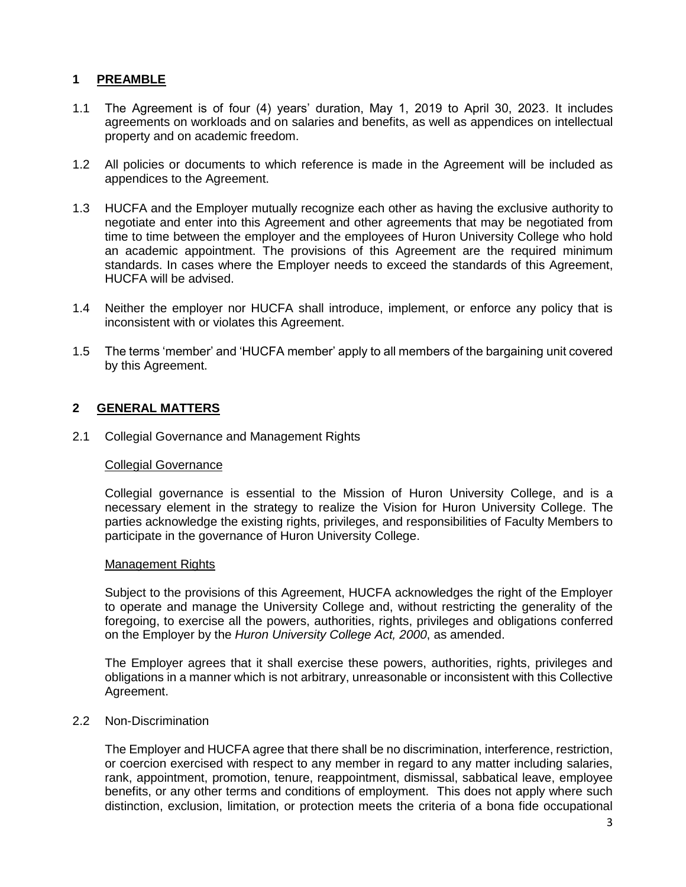### <span id="page-2-0"></span>**1 PREAMBLE**

- 1.1 The Agreement is of four (4) years' duration, May 1, 2019 to April 30, 2023. It includes agreements on workloads and on salaries and benefits, as well as appendices on intellectual property and on academic freedom.
- 1.2 All policies or documents to which reference is made in the Agreement will be included as appendices to the Agreement.
- 1.3 HUCFA and the Employer mutually recognize each other as having the exclusive authority to negotiate and enter into this Agreement and other agreements that may be negotiated from time to time between the employer and the employees of Huron University College who hold an academic appointment. The provisions of this Agreement are the required minimum standards. In cases where the Employer needs to exceed the standards of this Agreement, HUCFA will be advised.
- 1.4 Neither the employer nor HUCFA shall introduce, implement, or enforce any policy that is inconsistent with or violates this Agreement.
- 1.5 The terms 'member' and 'HUCFA member' apply to all members of the bargaining unit covered by this Agreement.

#### <span id="page-2-1"></span>**2 GENERAL MATTERS**

2.1 Collegial Governance and Management Rights

#### Collegial Governance

Collegial governance is essential to the Mission of Huron University College, and is a necessary element in the strategy to realize the Vision for Huron University College. The parties acknowledge the existing rights, privileges, and responsibilities of Faculty Members to participate in the governance of Huron University College.

#### Management Rights

Subject to the provisions of this Agreement, HUCFA acknowledges the right of the Employer to operate and manage the University College and, without restricting the generality of the foregoing, to exercise all the powers, authorities, rights, privileges and obligations conferred on the Employer by the *Huron University College Act, 2000*, as amended.

The Employer agrees that it shall exercise these powers, authorities, rights, privileges and obligations in a manner which is not arbitrary, unreasonable or inconsistent with this Collective Agreement.

### 2.2 Non-Discrimination

The Employer and HUCFA agree that there shall be no discrimination, interference, restriction, or coercion exercised with respect to any member in regard to any matter including salaries, rank, appointment, promotion, tenure, reappointment, dismissal, sabbatical leave, employee benefits, or any other terms and conditions of employment. This does not apply where such distinction, exclusion, limitation, or protection meets the criteria of a bona fide occupational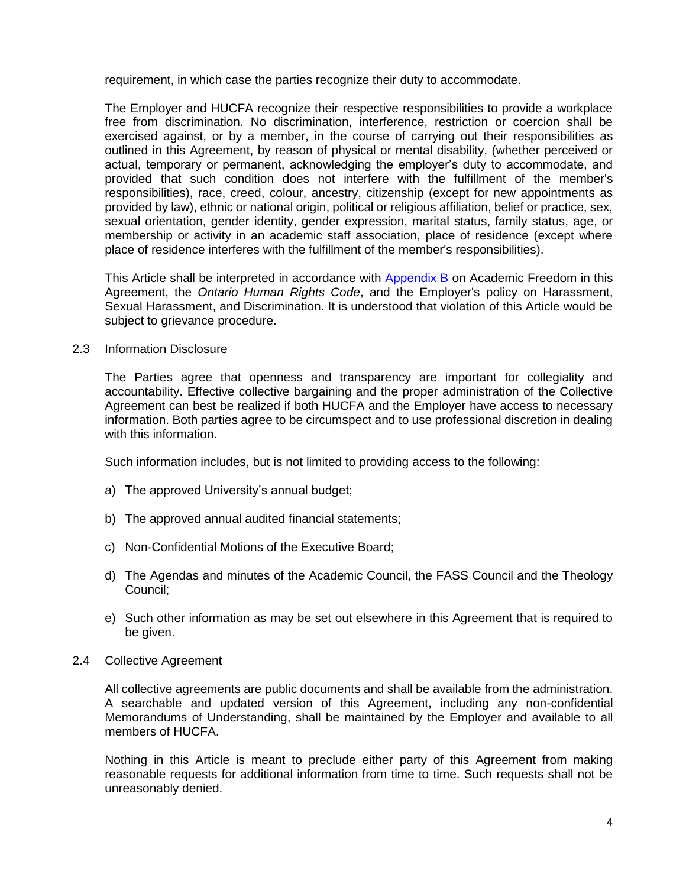requirement, in which case the parties recognize their duty to accommodate.

The Employer and HUCFA recognize their respective responsibilities to provide a workplace free from discrimination. No discrimination, interference, restriction or coercion shall be exercised against, or by a member, in the course of carrying out their responsibilities as outlined in this Agreement, by reason of physical or mental disability, (whether perceived or actual, temporary or permanent, acknowledging the employer's duty to accommodate, and provided that such condition does not interfere with the fulfillment of the member's responsibilities), race, creed, colour, ancestry, citizenship (except for new appointments as provided by law), ethnic or national origin, political or religious affiliation, belief or practice, sex, sexual orientation, gender identity, gender expression, marital status, family status, age, or membership or activity in an academic staff association, place of residence (except where place of residence interferes with the fulfillment of the member's responsibilities).

This Article shall be interpreted in accordance with **Appendix B** on Academic Freedom in this Agreement, the *Ontario Human Rights Code*, and the Employer's policy on Harassment, Sexual Harassment, and Discrimination. It is understood that violation of this Article would be subject to grievance procedure.

#### 2.3 Information Disclosure

The Parties agree that openness and transparency are important for collegiality and accountability. Effective collective bargaining and the proper administration of the Collective Agreement can best be realized if both HUCFA and the Employer have access to necessary information. Both parties agree to be circumspect and to use professional discretion in dealing with this information.

Such information includes, but is not limited to providing access to the following:

- a) The approved University's annual budget;
- b) The approved annual audited financial statements;
- c) Non-Confidential Motions of the Executive Board;
- d) The Agendas and minutes of the Academic Council, the FASS Council and the Theology Council;
- e) Such other information as may be set out elsewhere in this Agreement that is required to be given.
- 2.4 Collective Agreement

All collective agreements are public documents and shall be available from the administration. A searchable and updated version of this Agreement, including any non-confidential Memorandums of Understanding, shall be maintained by the Employer and available to all members of HUCFA.

Nothing in this Article is meant to preclude either party of this Agreement from making reasonable requests for additional information from time to time. Such requests shall not be unreasonably denied.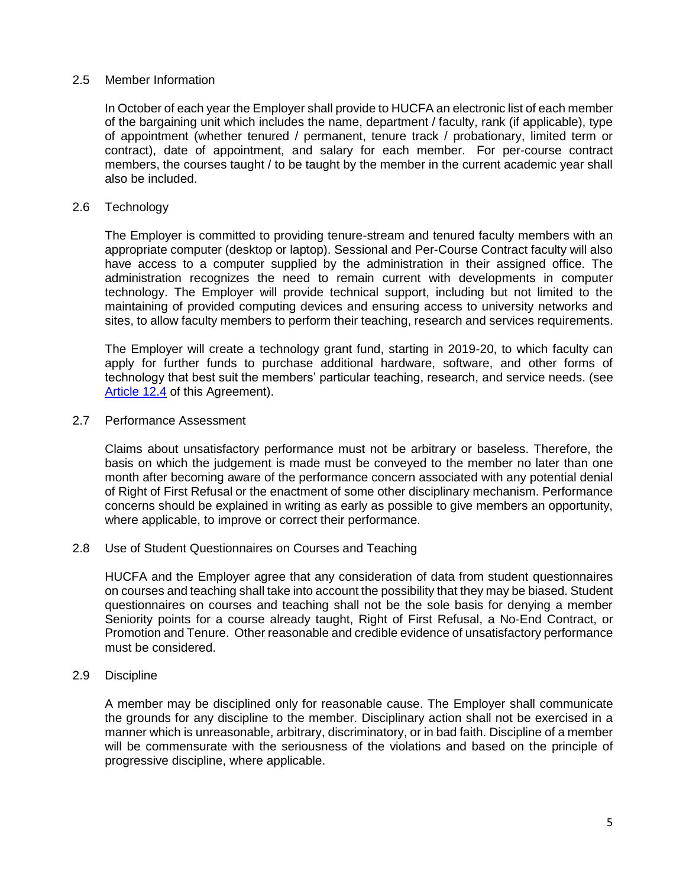#### 2.5 Member Information

In October of each year the Employer shall provide to HUCFA an electronic list of each member of the bargaining unit which includes the name, department / faculty, rank (if applicable), type of appointment (whether tenured / permanent, tenure track / probationary, limited term or contract), date of appointment, and salary for each member. For per-course contract members, the courses taught / to be taught by the member in the current academic year shall also be included.

#### 2.6 Technology

The Employer is committed to providing tenure-stream and tenured faculty members with an appropriate computer (desktop or laptop). Sessional and Per-Course Contract faculty will also have access to a computer supplied by the administration in their assigned office. The administration recognizes the need to remain current with developments in computer technology. The Employer will provide technical support, including but not limited to the maintaining of provided computing devices and ensuring access to university networks and sites, to allow faculty members to perform their teaching, research and services requirements.

The Employer will create a technology grant fund, starting in 2019-20, to which faculty can apply for further funds to purchase additional hardware, software, and other forms of technology that best suit the members' particular teaching, research, and service needs. (see [Article 12.4](#page-25-1) of this Agreement).

#### 2.7 Performance Assessment

Claims about unsatisfactory performance must not be arbitrary or baseless. Therefore, the basis on which the judgement is made must be conveyed to the member no later than one month after becoming aware of the performance concern associated with any potential denial of Right of First Refusal or the enactment of some other disciplinary mechanism. Performance concerns should be explained in writing as early as possible to give members an opportunity, where applicable, to improve or correct their performance.

2.8 Use of Student Questionnaires on Courses and Teaching

HUCFA and the Employer agree that any consideration of data from student questionnaires on courses and teaching shall take into account the possibility that they may be biased. Student questionnaires on courses and teaching shall not be the sole basis for denying a member Seniority points for a course already taught, Right of First Refusal, a No-End Contract, or Promotion and Tenure. Other reasonable and credible evidence of unsatisfactory performance must be considered.

#### 2.9 Discipline

A member may be disciplined only for reasonable cause. The Employer shall communicate the grounds for any discipline to the member. Disciplinary action shall not be exercised in a manner which is unreasonable, arbitrary, discriminatory, or in bad faith. Discipline of a member will be commensurate with the seriousness of the violations and based on the principle of progressive discipline, where applicable.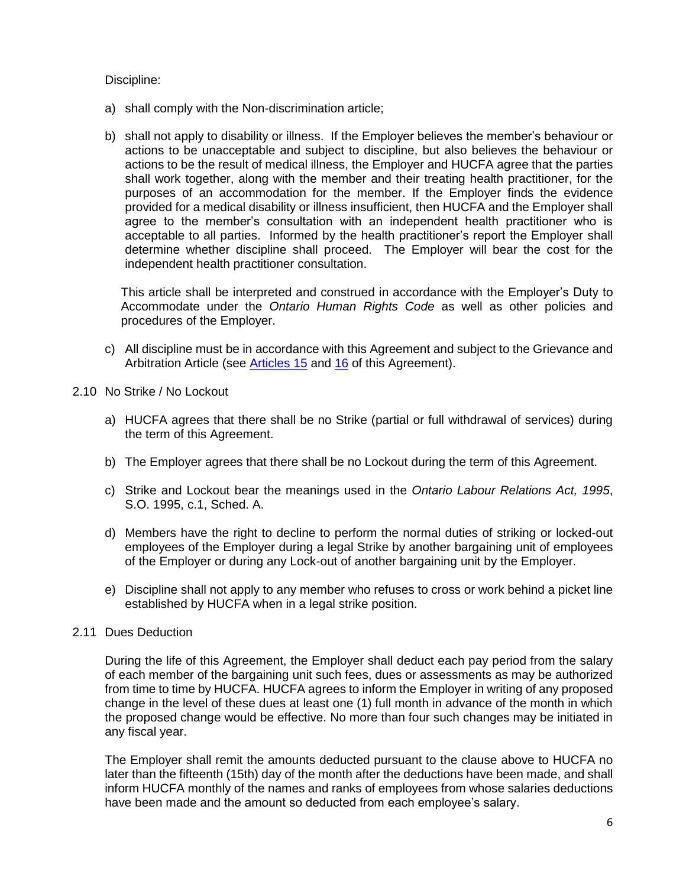Discipline:

- a) shall comply with the Non-discrimination article;
- b) shall not apply to disability or illness. If the Employer believes the member's behaviour or actions to be unacceptable and subject to discipline, but also believes the behaviour or actions to be the result of medical illness, the Employer and HUCFA agree that the parties shall work together, along with the member and their treating health practitioner, for the purposes of an accommodation for the member. If the Employer finds the evidence provided for a medical disability or illness insufficient, then HUCFA and the Employer shall agree to the member's consultation with an independent health practitioner who is acceptable to all parties. Informed by the health practitioner's report the Employer shall determine whether discipline shall proceed. The Employer will bear the cost for the independent health practitioner consultation.

This article shall be interpreted and construed in accordance with the Employer's Duty to Accommodate under the *Ontario Human Rights Code* as well as other policies and procedures of the Employer.

- c) All discipline must be in accordance with this Agreement and subject to the Grievance and Arbitration Article (see [Articles](#page-28-0) 15 and [16](#page-30-0) of this Agreement).
- 2.10 No Strike / No Lockout
	- a) HUCFA agrees that there shall be no Strike (partial or full withdrawal of services) during the term of this Agreement.
	- b) The Employer agrees that there shall be no Lockout during the term of this Agreement.
	- c) Strike and Lockout bear the meanings used in the *Ontario Labour Relations Act, 1995*, S.O. 1995, c.1, Sched. A.
	- d) Members have the right to decline to perform the normal duties of striking or locked-out employees of the Employer during a legal Strike by another bargaining unit of employees of the Employer or during any Lock-out of another bargaining unit by the Employer.
	- e) Discipline shall not apply to any member who refuses to cross or work behind a picket line established by HUCFA when in a legal strike position.

### 2.11 Dues Deduction

During the life of this Agreement, the Employer shall deduct each pay period from the salary of each member of the bargaining unit such fees, dues or assessments as may be authorized from time to time by HUCFA. HUCFA agrees to inform the Employer in writing of any proposed change in the level of these dues at least one (1) full month in advance of the month in which the proposed change would be effective. No more than four such changes may be initiated in any fiscal year.

The Employer shall remit the amounts deducted pursuant to the clause above to HUCFA no later than the fifteenth (15th) day of the month after the deductions have been made, and shall inform HUCFA monthly of the names and ranks of employees from whose salaries deductions have been made and the amount so deducted from each employee's salary.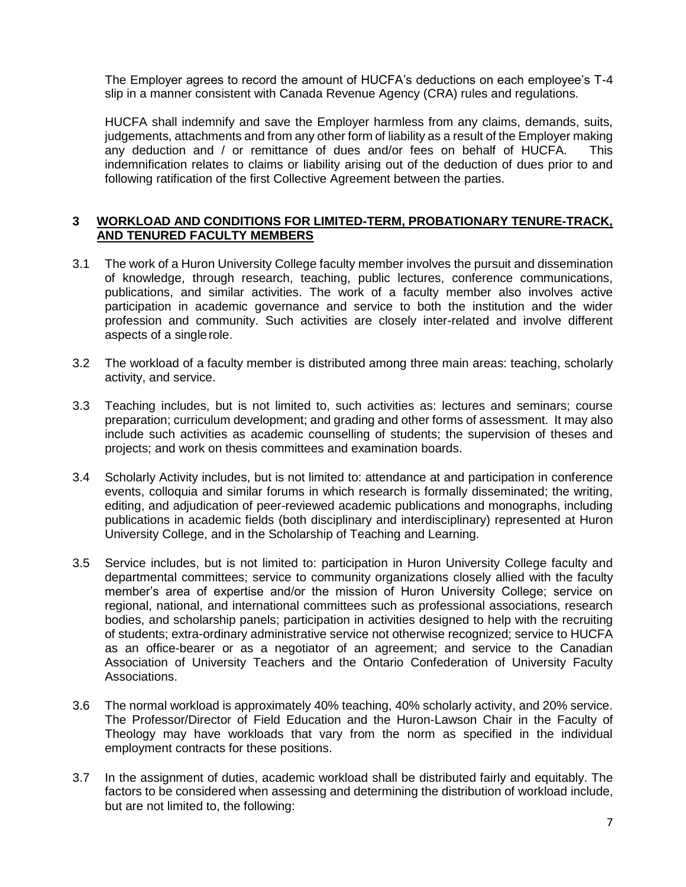The Employer agrees to record the amount of HUCFA's deductions on each employee's T-4 slip in a manner consistent with Canada Revenue Agency (CRA) rules and regulations.

HUCFA shall indemnify and save the Employer harmless from any claims, demands, suits, judgements, attachments and from any other form of liability as a result of the Employer making any deduction and / or remittance of dues and/or fees on behalf of HUCFA. This indemnification relates to claims or liability arising out of the deduction of dues prior to and following ratification of the first Collective Agreement between the parties.

### <span id="page-6-0"></span>**3 WORKLOAD AND CONDITIONS FOR LIMITED-TERM, PROBATIONARY TENURE-TRACK, AND TENURED FACULTY MEMBERS**

- 3.1 The work of a Huron University College faculty member involves the pursuit and dissemination of knowledge, through research, teaching, public lectures, conference communications, publications, and similar activities. The work of a faculty member also involves active participation in academic governance and service to both the institution and the wider profession and community. Such activities are closely inter-related and involve different aspects of a singlerole.
- 3.2 The workload of a faculty member is distributed among three main areas: teaching, scholarly activity, and service.
- 3.3 Teaching includes, but is not limited to, such activities as: lectures and seminars; course preparation; curriculum development; and grading and other forms of assessment. It may also include such activities as academic counselling of students; the supervision of theses and projects; and work on thesis committees and examination boards.
- 3.4 Scholarly Activity includes, but is not limited to: attendance at and participation in conference events, colloquia and similar forums in which research is formally disseminated; the writing, editing, and adjudication of peer-reviewed academic publications and monographs, including publications in academic fields (both disciplinary and interdisciplinary) represented at Huron University College, and in the Scholarship of Teaching and Learning.
- 3.5 Service includes, but is not limited to: participation in Huron University College faculty and departmental committees; service to community organizations closely allied with the faculty member's area of expertise and/or the mission of Huron University College; service on regional, national, and international committees such as professional associations, research bodies, and scholarship panels; participation in activities designed to help with the recruiting of students; extra-ordinary administrative service not otherwise recognized; service to HUCFA as an office-bearer or as a negotiator of an agreement; and service to the Canadian Association of University Teachers and the Ontario Confederation of University Faculty Associations.
- <span id="page-6-1"></span>3.6 The normal workload is approximately 40% teaching, 40% scholarly activity, and 20% service. The Professor/Director of Field Education and the Huron-Lawson Chair in the Faculty of Theology may have workloads that vary from the norm as specified in the individual employment contracts for these positions.
- <span id="page-6-2"></span>3.7 In the assignment of duties, academic workload shall be distributed fairly and equitably. The factors to be considered when assessing and determining the distribution of workload include, but are not limited to, the following: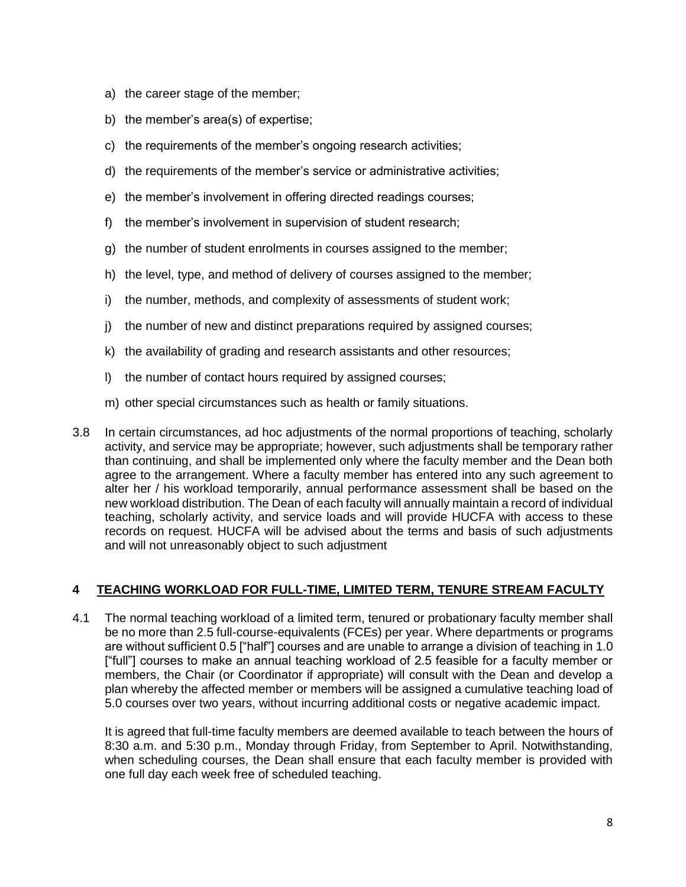- a) the career stage of the member;
- b) the member's area(s) of expertise;
- c) the requirements of the member's ongoing research activities;
- d) the requirements of the member's service or administrative activities;
- e) the member's involvement in offering directed readings courses;
- f) the member's involvement in supervision of student research;
- g) the number of student enrolments in courses assigned to the member;
- h) the level, type, and method of delivery of courses assigned to the member;
- i) the number, methods, and complexity of assessments of student work;
- j) the number of new and distinct preparations required by assigned courses;
- k) the availability of grading and research assistants and other resources;
- l) the number of contact hours required by assigned courses;
- m) other special circumstances such as health or family situations.
- 3.8 In certain circumstances, ad hoc adjustments of the normal proportions of teaching, scholarly activity, and service may be appropriate; however, such adjustments shall be temporary rather than continuing, and shall be implemented only where the faculty member and the Dean both agree to the arrangement. Where a faculty member has entered into any such agreement to alter her / his workload temporarily, annual performance assessment shall be based on the new workload distribution. The Dean of each faculty will annually maintain a record of individual teaching, scholarly activity, and service loads and will provide HUCFA with access to these records on request. HUCFA will be advised about the terms and basis of such adjustments and will not unreasonably object to such adjustment

### <span id="page-7-0"></span>**4 TEACHING WORKLOAD FOR FULL-TIME, LIMITED TERM, TENURE STREAM FACULTY**

<span id="page-7-1"></span>4.1 The normal teaching workload of a limited term, tenured or probationary faculty member shall be no more than 2.5 full-course-equivalents (FCEs) per year. Where departments or programs are without sufficient 0.5 ["half"] courses and are unable to arrange a division of teaching in 1.0 ["full"] courses to make an annual teaching workload of 2.5 feasible for a faculty member or members, the Chair (or Coordinator if appropriate) will consult with the Dean and develop a plan whereby the affected member or members will be assigned a cumulative teaching load of 5.0 courses over two years, without incurring additional costs or negative academic impact.

It is agreed that full-time faculty members are deemed available to teach between the hours of 8:30 a.m. and 5:30 p.m., Monday through Friday, from September to April. Notwithstanding, when scheduling courses, the Dean shall ensure that each faculty member is provided with one full day each week free of scheduled teaching.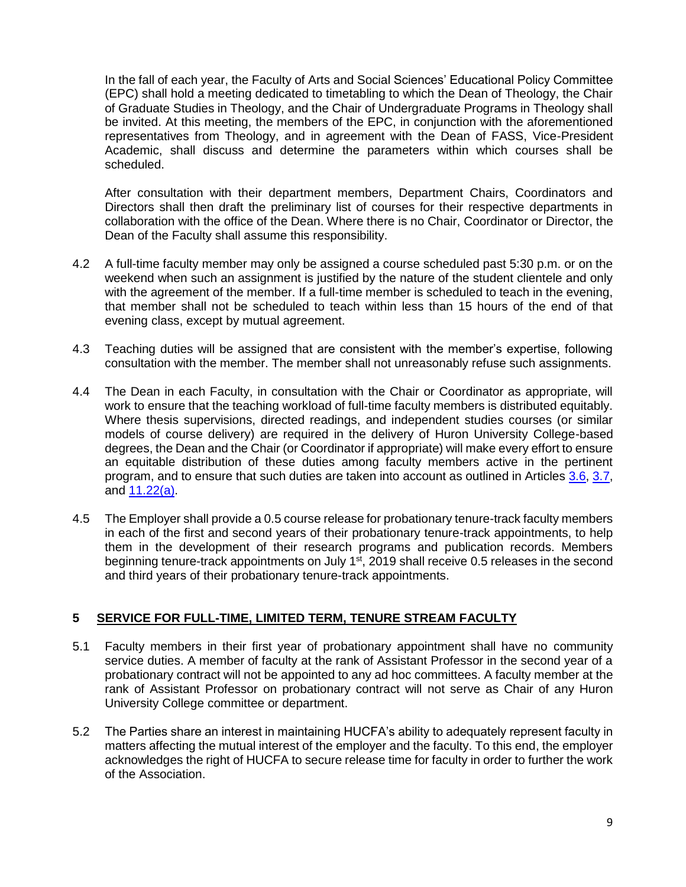In the fall of each year, the Faculty of Arts and Social Sciences' Educational Policy Committee (EPC) shall hold a meeting dedicated to timetabling to which the Dean of Theology, the Chair of Graduate Studies in Theology, and the Chair of Undergraduate Programs in Theology shall be invited. At this meeting, the members of the EPC, in conjunction with the aforementioned representatives from Theology, and in agreement with the Dean of FASS, Vice-President Academic, shall discuss and determine the parameters within which courses shall be scheduled.

After consultation with their department members, Department Chairs, Coordinators and Directors shall then draft the preliminary list of courses for their respective departments in collaboration with the office of the Dean. Where there is no Chair, Coordinator or Director, the Dean of the Faculty shall assume this responsibility.

- 4.2 A full-time faculty member may only be assigned a course scheduled past 5:30 p.m. or on the weekend when such an assignment is justified by the nature of the student clientele and only with the agreement of the member. If a full-time member is scheduled to teach in the evening, that member shall not be scheduled to teach within less than 15 hours of the end of that evening class, except by mutual agreement.
- 4.3 Teaching duties will be assigned that are consistent with the member's expertise, following consultation with the member. The member shall not unreasonably refuse such assignments.
- 4.4 The Dean in each Faculty, in consultation with the Chair or Coordinator as appropriate, will work to ensure that the teaching workload of full-time faculty members is distributed equitably. Where thesis supervisions, directed readings, and independent studies courses (or similar models of course delivery) are required in the delivery of Huron University College-based degrees, the Dean and the Chair (or Coordinator if appropriate) will make every effort to ensure an equitable distribution of these duties among faculty members active in the pertinent program, and to ensure that such duties are taken into account as outlined in Articles [3.6,](#page-6-1) [3.7,](#page-6-2) and  $11.22(a)$ .
- 4.5 The Employer shall provide a 0.5 course release for probationary tenure-track faculty members in each of the first and second years of their probationary tenure-track appointments, to help them in the development of their research programs and publication records. Members beginning tenure-track appointments on July 1<sup>st</sup>, 2019 shall receive 0.5 releases in the second and third years of their probationary tenure-track appointments.

### <span id="page-8-0"></span>**5 SERVICE FOR FULL-TIME, LIMITED TERM, TENURE STREAM FACULTY**

- 5.1 Faculty members in their first year of probationary appointment shall have no community service duties. A member of faculty at the rank of Assistant Professor in the second year of a probationary contract will not be appointed to any ad hoc committees. A faculty member at the rank of Assistant Professor on probationary contract will not serve as Chair of any Huron University College committee or department.
- 5.2 The Parties share an interest in maintaining HUCFA's ability to adequately represent faculty in matters affecting the mutual interest of the employer and the faculty. To this end, the employer acknowledges the right of HUCFA to secure release time for faculty in order to further the work of the Association.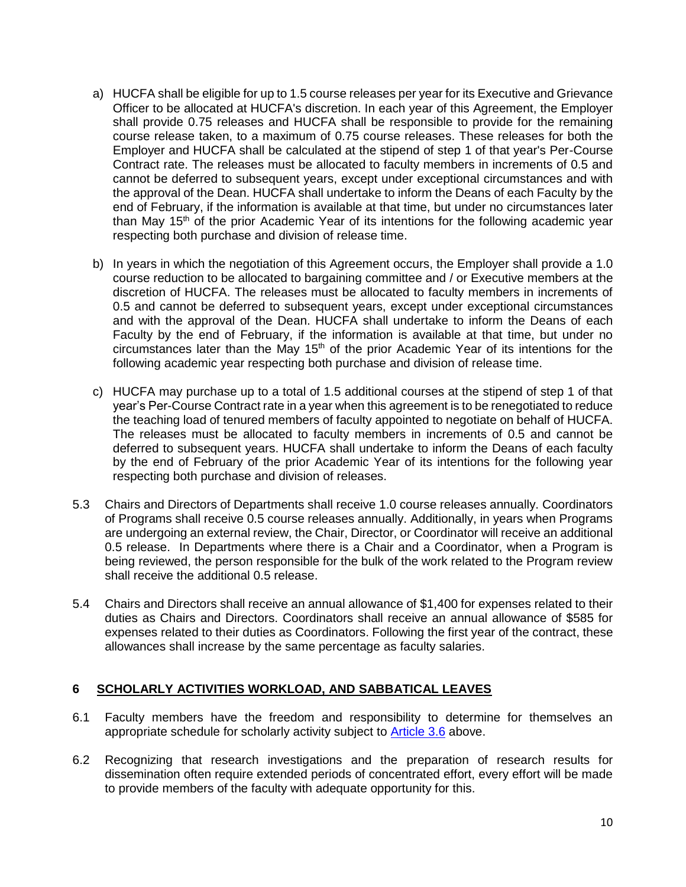- a) HUCFA shall be eligible for up to 1.5 course releases per year for its Executive and Grievance Officer to be allocated at HUCFA's discretion. In each year of this Agreement, the Employer shall provide 0.75 releases and HUCFA shall be responsible to provide for the remaining course release taken, to a maximum of 0.75 course releases. These releases for both the Employer and HUCFA shall be calculated at the stipend of step 1 of that year's Per-Course Contract rate. The releases must be allocated to faculty members in increments of 0.5 and cannot be deferred to subsequent years, except under exceptional circumstances and with the approval of the Dean. HUCFA shall undertake to inform the Deans of each Faculty by the end of February, if the information is available at that time, but under no circumstances later than May 15<sup>th</sup> of the prior Academic Year of its intentions for the following academic year respecting both purchase and division of release time.
- b) In years in which the negotiation of this Agreement occurs, the Employer shall provide a 1.0 course reduction to be allocated to bargaining committee and / or Executive members at the discretion of HUCFA. The releases must be allocated to faculty members in increments of 0.5 and cannot be deferred to subsequent years, except under exceptional circumstances and with the approval of the Dean. HUCFA shall undertake to inform the Deans of each Faculty by the end of February, if the information is available at that time, but under no circumstances later than the May  $15<sup>th</sup>$  of the prior Academic Year of its intentions for the following academic year respecting both purchase and division of release time.
- c) HUCFA may purchase up to a total of 1.5 additional courses at the stipend of step 1 of that year's Per-Course Contract rate in a year when this agreement is to be renegotiated to reduce the teaching load of tenured members of faculty appointed to negotiate on behalf of HUCFA. The releases must be allocated to faculty members in increments of 0.5 and cannot be deferred to subsequent years. HUCFA shall undertake to inform the Deans of each faculty by the end of February of the prior Academic Year of its intentions for the following year respecting both purchase and division of releases.
- 5.3 Chairs and Directors of Departments shall receive 1.0 course releases annually. Coordinators of Programs shall receive 0.5 course releases annually. Additionally, in years when Programs are undergoing an external review, the Chair, Director, or Coordinator will receive an additional 0.5 release. In Departments where there is a Chair and a Coordinator, when a Program is being reviewed, the person responsible for the bulk of the work related to the Program review shall receive the additional 0.5 release.
- 5.4 Chairs and Directors shall receive an annual allowance of \$1,400 for expenses related to their duties as Chairs and Directors. Coordinators shall receive an annual allowance of \$585 for expenses related to their duties as Coordinators. Following the first year of the contract, these allowances shall increase by the same percentage as faculty salaries.

### <span id="page-9-0"></span>**6 SCHOLARLY ACTIVITIES WORKLOAD, AND SABBATICAL LEAVES**

- 6.1 Faculty members have the freedom and responsibility to determine for themselves an appropriate schedule for scholarly activity subject to **Article 3.6** above.
- 6.2 Recognizing that research investigations and the preparation of research results for dissemination often require extended periods of concentrated effort, every effort will be made to provide members of the faculty with adequate opportunity for this.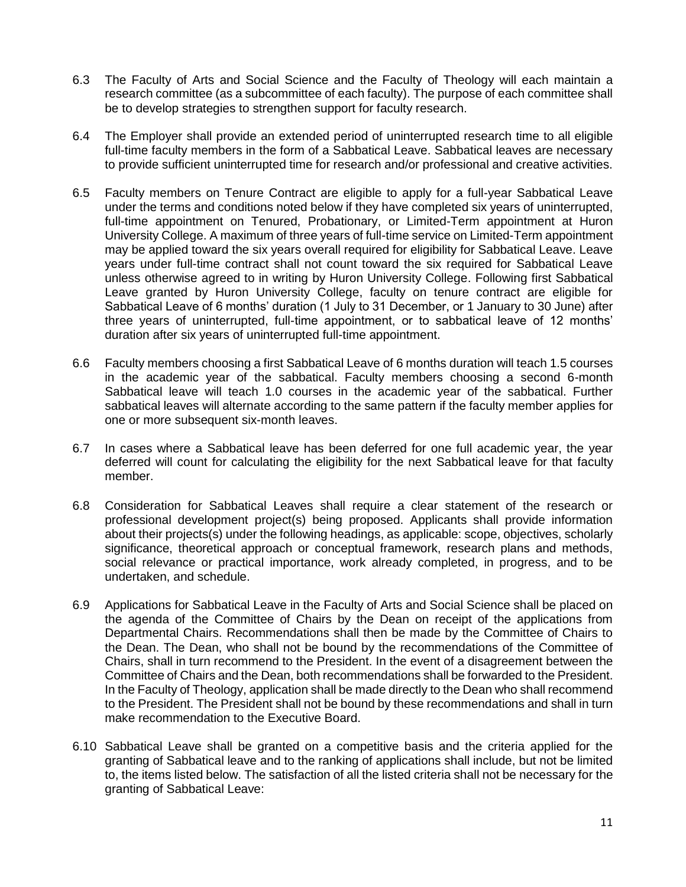- 6.3 The Faculty of Arts and Social Science and the Faculty of Theology will each maintain a research committee (as a subcommittee of each faculty). The purpose of each committee shall be to develop strategies to strengthen support for faculty research.
- 6.4 The Employer shall provide an extended period of uninterrupted research time to all eligible full-time faculty members in the form of a Sabbatical Leave. Sabbatical leaves are necessary to provide sufficient uninterrupted time for research and/or professional and creative activities.
- 6.5 Faculty members on Tenure Contract are eligible to apply for a full-year Sabbatical Leave under the terms and conditions noted below if they have completed six years of uninterrupted, full-time appointment on Tenured, Probationary, or Limited-Term appointment at Huron University College. A maximum of three years of full-time service on Limited-Term appointment may be applied toward the six years overall required for eligibility for Sabbatical Leave. Leave years under full-time contract shall not count toward the six required for Sabbatical Leave unless otherwise agreed to in writing by Huron University College. Following first Sabbatical Leave granted by Huron University College, faculty on tenure contract are eligible for Sabbatical Leave of 6 months' duration (1 July to 31 December, or 1 January to 30 June) after three years of uninterrupted, full-time appointment, or to sabbatical leave of 12 months' duration after six years of uninterrupted full-time appointment.
- 6.6 Faculty members choosing a first Sabbatical Leave of 6 months duration will teach 1.5 courses in the academic year of the sabbatical. Faculty members choosing a second 6-month Sabbatical leave will teach 1.0 courses in the academic year of the sabbatical. Further sabbatical leaves will alternate according to the same pattern if the faculty member applies for one or more subsequent six-month leaves.
- 6.7 In cases where a Sabbatical leave has been deferred for one full academic year, the year deferred will count for calculating the eligibility for the next Sabbatical leave for that faculty member.
- 6.8 Consideration for Sabbatical Leaves shall require a clear statement of the research or professional development project(s) being proposed. Applicants shall provide information about their projects(s) under the following headings, as applicable: scope, objectives, scholarly significance, theoretical approach or conceptual framework, research plans and methods, social relevance or practical importance, work already completed, in progress, and to be undertaken, and schedule.
- 6.9 Applications for Sabbatical Leave in the Faculty of Arts and Social Science shall be placed on the agenda of the Committee of Chairs by the Dean on receipt of the applications from Departmental Chairs. Recommendations shall then be made by the Committee of Chairs to the Dean. The Dean, who shall not be bound by the recommendations of the Committee of Chairs, shall in turn recommend to the President. In the event of a disagreement between the Committee of Chairs and the Dean, both recommendations shall be forwarded to the President. In the Faculty of Theology, application shall be made directly to the Dean who shall recommend to the President. The President shall not be bound by these recommendations and shall in turn make recommendation to the Executive Board.
- 6.10 Sabbatical Leave shall be granted on a competitive basis and the criteria applied for the granting of Sabbatical leave and to the ranking of applications shall include, but not be limited to, the items listed below. The satisfaction of all the listed criteria shall not be necessary for the granting of Sabbatical Leave: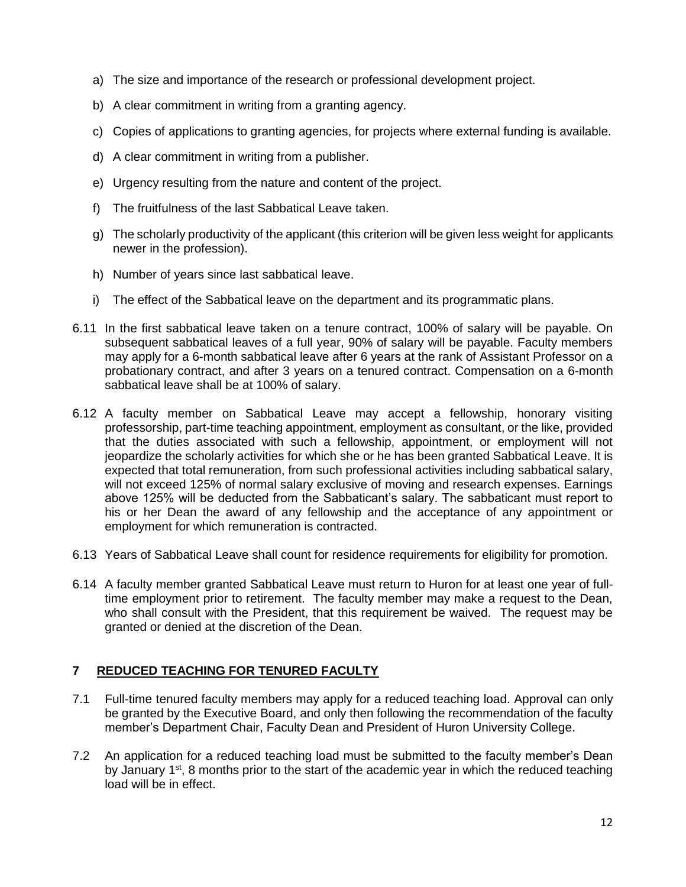- a) The size and importance of the research or professional development project.
- b) A clear commitment in writing from a granting agency.
- c) Copies of applications to granting agencies, for projects where external funding is available.
- d) A clear commitment in writing from a publisher.
- e) Urgency resulting from the nature and content of the project.
- f) The fruitfulness of the last Sabbatical Leave taken.
- g) The scholarly productivity of the applicant (this criterion will be given less weight for applicants newer in the profession).
- h) Number of years since last sabbatical leave.
- i) The effect of the Sabbatical leave on the department and its programmatic plans.
- 6.11 In the first sabbatical leave taken on a tenure contract, 100% of salary will be payable. On subsequent sabbatical leaves of a full year, 90% of salary will be payable. Faculty members may apply for a 6-month sabbatical leave after 6 years at the rank of Assistant Professor on a probationary contract, and after 3 years on a tenured contract. Compensation on a 6-month sabbatical leave shall be at 100% of salary.
- 6.12 A faculty member on Sabbatical Leave may accept a fellowship, honorary visiting professorship, part-time teaching appointment, employment as consultant, or the like, provided that the duties associated with such a fellowship, appointment, or employment will not jeopardize the scholarly activities for which she or he has been granted Sabbatical Leave. It is expected that total remuneration, from such professional activities including sabbatical salary, will not exceed 125% of normal salary exclusive of moving and research expenses. Earnings above 125% will be deducted from the Sabbaticant's salary. The sabbaticant must report to his or her Dean the award of any fellowship and the acceptance of any appointment or employment for which remuneration is contracted.
- 6.13 Years of Sabbatical Leave shall count for residence requirements for eligibility for promotion.
- 6.14 A faculty member granted Sabbatical Leave must return to Huron for at least one year of fulltime employment prior to retirement. The faculty member may make a request to the Dean, who shall consult with the President, that this requirement be waived. The request may be granted or denied at the discretion of the Dean.

### <span id="page-11-0"></span>**7 REDUCED TEACHING FOR TENURED FACULTY**

- 7.1 Full-time tenured faculty members may apply for a reduced teaching load. Approval can only be granted by the Executive Board, and only then following the recommendation of the faculty member's Department Chair, Faculty Dean and President of Huron University College.
- 7.2 An application for a reduced teaching load must be submitted to the faculty member's Dean by January 1<sup>st</sup>, 8 months prior to the start of the academic year in which the reduced teaching load will be in effect.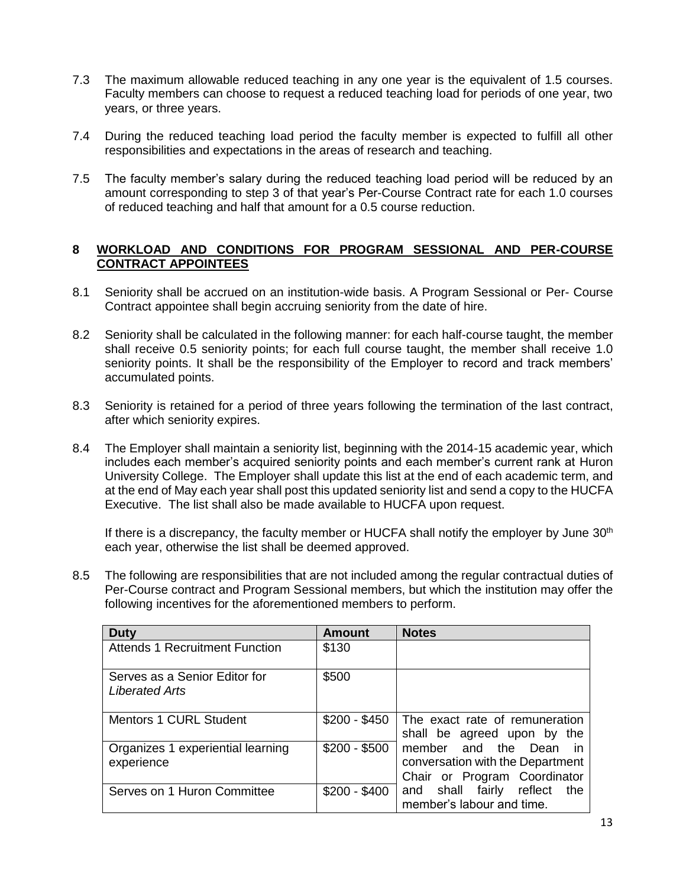- 7.3 The maximum allowable reduced teaching in any one year is the equivalent of 1.5 courses. Faculty members can choose to request a reduced teaching load for periods of one year, two years, or three years.
- 7.4 During the reduced teaching load period the faculty member is expected to fulfill all other responsibilities and expectations in the areas of research and teaching.
- 7.5 The faculty member's salary during the reduced teaching load period will be reduced by an amount corresponding to step 3 of that year's Per-Course Contract rate for each 1.0 courses of reduced teaching and half that amount for a 0.5 course reduction.

### <span id="page-12-0"></span>**8 WORKLOAD AND CONDITIONS FOR PROGRAM SESSIONAL AND PER-COURSE CONTRACT APPOINTEES**

- 8.1 Seniority shall be accrued on an institution-wide basis. A Program Sessional or Per- Course Contract appointee shall begin accruing seniority from the date of hire.
- 8.2 Seniority shall be calculated in the following manner: for each half-course taught, the member shall receive 0.5 seniority points; for each full course taught, the member shall receive 1.0 seniority points. It shall be the responsibility of the Employer to record and track members' accumulated points.
- <span id="page-12-1"></span>8.3 Seniority is retained for a period of three years following the termination of the last contract, after which seniority expires.
- 8.4 The Employer shall maintain a seniority list, beginning with the 2014-15 academic year, which includes each member's acquired seniority points and each member's current rank at Huron University College. The Employer shall update this list at the end of each academic term, and at the end of May each year shall post this updated seniority list and send a copy to the HUCFA Executive. The list shall also be made available to HUCFA upon request.

If there is a discrepancy, the faculty member or HUCFA shall notify the employer by June  $30<sup>th</sup>$ each year, otherwise the list shall be deemed approved.

8.5 The following are responsibilities that are not included among the regular contractual duties of Per-Course contract and Program Sessional members, but which the institution may offer the following incentives for the aforementioned members to perform.

| <b>Duty</b>                                     | Amount        | <b>Notes</b>                                                                                  |
|-------------------------------------------------|---------------|-----------------------------------------------------------------------------------------------|
| <b>Attends 1 Recruitment Function</b>           | \$130         |                                                                                               |
| Serves as a Senior Editor for<br>Liberated Arts | \$500         |                                                                                               |
| <b>Mentors 1 CURL Student</b>                   | \$200 - \$450 | The exact rate of remuneration<br>shall be agreed upon by the                                 |
| Organizes 1 experiential learning<br>experience | $$200 - $500$ | member and the Dean<br>in<br>conversation with the Department<br>Chair or Program Coordinator |
| Serves on 1 Huron Committee                     | $$200 - $400$ | and shall fairly<br>reflect<br>the<br>member's labour and time.                               |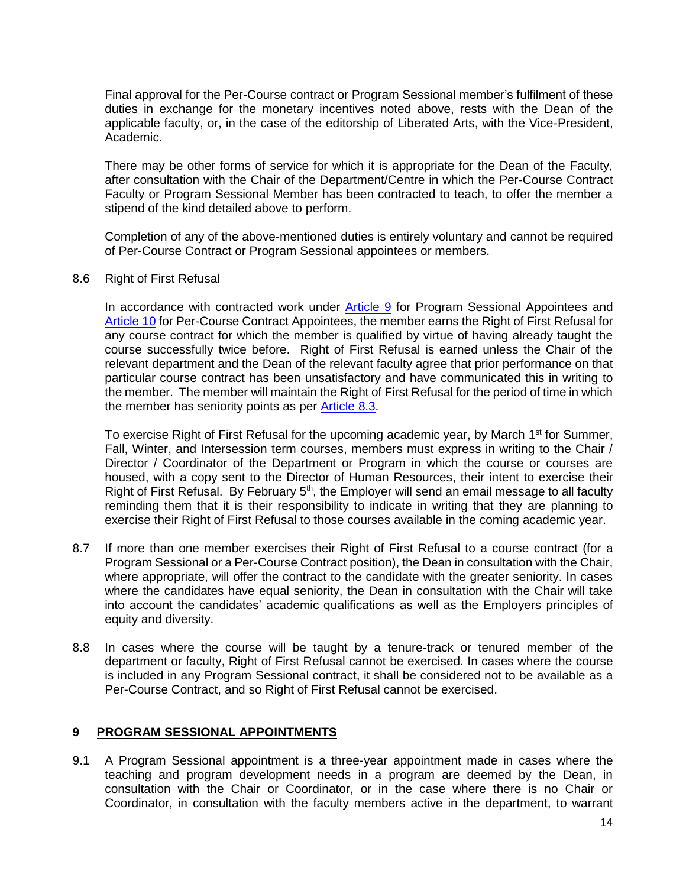Final approval for the Per-Course contract or Program Sessional member's fulfilment of these duties in exchange for the monetary incentives noted above, rests with the Dean of the applicable faculty, or, in the case of the editorship of Liberated Arts, with the Vice-President, Academic.

There may be other forms of service for which it is appropriate for the Dean of the Faculty, after consultation with the Chair of the Department/Centre in which the Per-Course Contract Faculty or Program Sessional Member has been contracted to teach, to offer the member a stipend of the kind detailed above to perform.

Completion of any of the above-mentioned duties is entirely voluntary and cannot be required of Per-Course Contract or Program Sessional appointees or members.

#### 8.6 Right of First Refusal

In accordance with contracted work under **Article 9** for Program Sessional Appointees and [Article 10](#page-15-0) for Per-Course Contract Appointees, the member earns the Right of First Refusal for any course contract for which the member is qualified by virtue of having already taught the course successfully twice before. Right of First Refusal is earned unless the Chair of the relevant department and the Dean of the relevant faculty agree that prior performance on that particular course contract has been unsatisfactory and have communicated this in writing to the member. The member will maintain the Right of First Refusal for the period of time in which the member has seniority points as per [Article](#page-12-1) 8.3.

To exercise Right of First Refusal for the upcoming academic year, by March 1<sup>st</sup> for Summer, Fall, Winter, and Intersession term courses, members must express in writing to the Chair / Director / Coordinator of the Department or Program in which the course or courses are housed, with a copy sent to the Director of Human Resources, their intent to exercise their Right of First Refusal. By February  $5<sup>th</sup>$ , the Employer will send an email message to all faculty reminding them that it is their responsibility to indicate in writing that they are planning to exercise their Right of First Refusal to those courses available in the coming academic year.

- 8.7 If more than one member exercises their Right of First Refusal to a course contract (for a Program Sessional or a Per-Course Contract position), the Dean in consultation with the Chair, where appropriate, will offer the contract to the candidate with the greater seniority. In cases where the candidates have equal seniority, the Dean in consultation with the Chair will take into account the candidates' academic qualifications as well as the Employers principles of equity and diversity.
- 8.8 In cases where the course will be taught by a tenure-track or tenured member of the department or faculty, Right of First Refusal cannot be exercised. In cases where the course is included in any Program Sessional contract, it shall be considered not to be available as a Per-Course Contract, and so Right of First Refusal cannot be exercised.

#### <span id="page-13-0"></span>**9 PROGRAM SESSIONAL APPOINTMENTS**

<span id="page-13-1"></span>9.1 A Program Sessional appointment is a three-year appointment made in cases where the teaching and program development needs in a program are deemed by the Dean, in consultation with the Chair or Coordinator, or in the case where there is no Chair or Coordinator, in consultation with the faculty members active in the department, to warrant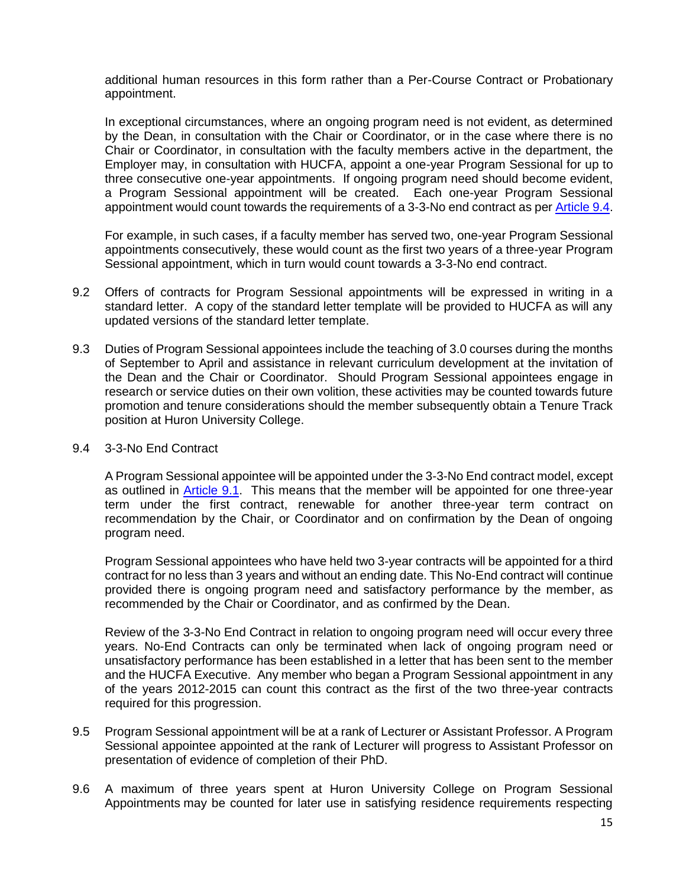additional human resources in this form rather than a Per-Course Contract or Probationary appointment.

In exceptional circumstances, where an ongoing program need is not evident, as determined by the Dean, in consultation with the Chair or Coordinator, or in the case where there is no Chair or Coordinator, in consultation with the faculty members active in the department, the Employer may, in consultation with HUCFA, appoint a one-year Program Sessional for up to three consecutive one-year appointments. If ongoing program need should become evident, a Program Sessional appointment will be created. Each one-year Program Sessional appointment would count towards the requirements of a 3-3-No end contract as pe[r Article](#page-14-0) 9.4.

For example, in such cases, if a faculty member has served two, one-year Program Sessional appointments consecutively, these would count as the first two years of a three-year Program Sessional appointment, which in turn would count towards a 3-3-No end contract.

- 9.2 Offers of contracts for Program Sessional appointments will be expressed in writing in a standard letter. A copy of the standard letter template will be provided to HUCFA as will any updated versions of the standard letter template.
- <span id="page-14-1"></span>9.3 Duties of Program Sessional appointees include the teaching of 3.0 courses during the months of September to April and assistance in relevant curriculum development at the invitation of the Dean and the Chair or Coordinator. Should Program Sessional appointees engage in research or service duties on their own volition, these activities may be counted towards future promotion and tenure considerations should the member subsequently obtain a Tenure Track position at Huron University College.

#### <span id="page-14-0"></span>9.4 3-3-No End Contract

A Program Sessional appointee will be appointed under the 3-3-No End contract model, except as outlined in **Article 9.1**. This means that the member will be appointed for one three-year term under the first contract, renewable for another three-year term contract on recommendation by the Chair, or Coordinator and on confirmation by the Dean of ongoing program need.

Program Sessional appointees who have held two 3-year contracts will be appointed for a third contract for no less than 3 years and without an ending date. This No-End contract will continue provided there is ongoing program need and satisfactory performance by the member, as recommended by the Chair or Coordinator, and as confirmed by the Dean.

Review of the 3-3-No End Contract in relation to ongoing program need will occur every three years. No-End Contracts can only be terminated when lack of ongoing program need or unsatisfactory performance has been established in a letter that has been sent to the member and the HUCFA Executive. Any member who began a Program Sessional appointment in any of the years 2012-2015 can count this contract as the first of the two three-year contracts required for this progression.

- 9.5 Program Sessional appointment will be at a rank of Lecturer or Assistant Professor. A Program Sessional appointee appointed at the rank of Lecturer will progress to Assistant Professor on presentation of evidence of completion of their PhD.
- 9.6 A maximum of three years spent at Huron University College on Program Sessional Appointments may be counted for later use in satisfying residence requirements respecting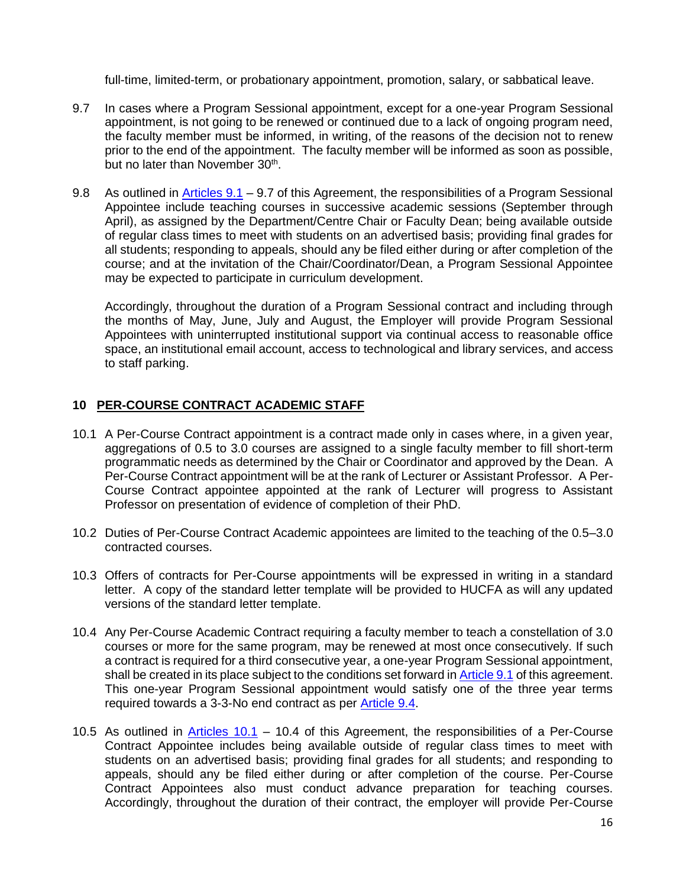full-time, limited-term, or probationary appointment, promotion, salary, or sabbatical leave.

- 9.7 In cases where a Program Sessional appointment, except for a one-year Program Sessional appointment, is not going to be renewed or continued due to a lack of ongoing program need, the faculty member must be informed, in writing, of the reasons of the decision not to renew prior to the end of the appointment. The faculty member will be informed as soon as possible, but no later than November 30<sup>th</sup>.
- 9.8 As outlined in [Articles 9.1](#page-13-1) 9.7 of this Agreement, the responsibilities of a Program Sessional Appointee include teaching courses in successive academic sessions (September through April), as assigned by the Department/Centre Chair or Faculty Dean; being available outside of regular class times to meet with students on an advertised basis; providing final grades for all students; responding to appeals, should any be filed either during or after completion of the course; and at the invitation of the Chair/Coordinator/Dean, a Program Sessional Appointee may be expected to participate in curriculum development.

Accordingly, throughout the duration of a Program Sessional contract and including through the months of May, June, July and August, the Employer will provide Program Sessional Appointees with uninterrupted institutional support via continual access to reasonable office space, an institutional email account, access to technological and library services, and access to staff parking.

### <span id="page-15-0"></span>**10 PER-COURSE CONTRACT ACADEMIC STAFF**

- <span id="page-15-1"></span>10.1 A Per-Course Contract appointment is a contract made only in cases where, in a given year, aggregations of 0.5 to 3.0 courses are assigned to a single faculty member to fill short-term programmatic needs as determined by the Chair or Coordinator and approved by the Dean. A Per-Course Contract appointment will be at the rank of Lecturer or Assistant Professor. A Per-Course Contract appointee appointed at the rank of Lecturer will progress to Assistant Professor on presentation of evidence of completion of their PhD.
- 10.2 Duties of Per-Course Contract Academic appointees are limited to the teaching of the 0.5–3.0 contracted courses.
- 10.3 Offers of contracts for Per-Course appointments will be expressed in writing in a standard letter. A copy of the standard letter template will be provided to HUCFA as will any updated versions of the standard letter template.
- 10.4 Any Per-Course Academic Contract requiring a faculty member to teach a constellation of 3.0 courses or more for the same program, may be renewed at most once consecutively. If such a contract is required for a third consecutive year, a one-year Program Sessional appointment, shall be created in its place subject to the conditions set forward in [Article 9.1](#page-13-1) of this agreement. This one-year Program Sessional appointment would satisfy one of the three year terms required towards a 3-3-No end contract as per [Article](#page-14-0) 9.4.
- <span id="page-15-2"></span>10.5 As outlined in  $Articles$  10.1 – 10.4 of this Agreement, the responsibilities of a Per-Course Contract Appointee includes being available outside of regular class times to meet with students on an advertised basis; providing final grades for all students; and responding to appeals, should any be filed either during or after completion of the course. Per-Course Contract Appointees also must conduct advance preparation for teaching courses. Accordingly, throughout the duration of their contract, the employer will provide Per-Course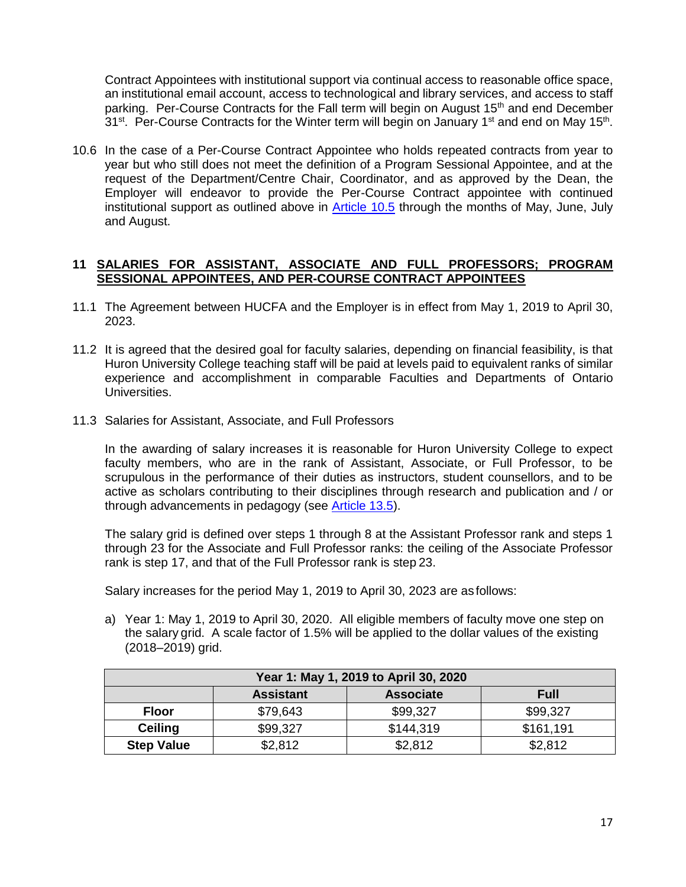Contract Appointees with institutional support via continual access to reasonable office space, an institutional email account, access to technological and library services, and access to staff parking. Per-Course Contracts for the Fall term will begin on August 15<sup>th</sup> and end December 31<sup>st</sup>. Per-Course Contracts for the Winter term will begin on January 1<sup>st</sup> and end on May 15<sup>th</sup>.

10.6 In the case of a Per-Course Contract Appointee who holds repeated contracts from year to year but who still does not meet the definition of a Program Sessional Appointee, and at the request of the Department/Centre Chair, Coordinator, and as approved by the Dean, the Employer will endeavor to provide the Per-Course Contract appointee with continued institutional support as outlined above in [Article 10.5](#page-15-2) through the months of May, June, July and August.

### <span id="page-16-0"></span>**11 SALARIES FOR ASSISTANT, ASSOCIATE AND FULL PROFESSORS; PROGRAM SESSIONAL APPOINTEES, AND PER-COURSE CONTRACT APPOINTEES**

- 11.1 The Agreement between HUCFA and the Employer is in effect from May 1, 2019 to April 30, 2023.
- 11.2 It is agreed that the desired goal for faculty salaries, depending on financial feasibility, is that Huron University College teaching staff will be paid at levels paid to equivalent ranks of similar experience and accomplishment in comparable Faculties and Departments of Ontario Universities.
- <span id="page-16-1"></span>11.3 Salaries for Assistant, Associate, and Full Professors

In the awarding of salary increases it is reasonable for Huron University College to expect faculty members, who are in the rank of Assistant, Associate, or Full Professor, to be scrupulous in the performance of their duties as instructors, student counsellors, and to be active as scholars contributing to their disciplines through research and publication and / or through advancements in pedagogy (see [Article 13.5\)](#page-25-2).

The salary grid is defined over steps 1 through 8 at the Assistant Professor rank and steps 1 through 23 for the Associate and Full Professor ranks: the ceiling of the Associate Professor rank is step 17, and that of the Full Professor rank is step 23.

Salary increases for the period May 1, 2019 to April 30, 2023 are as follows:

a) Year 1: May 1, 2019 to April 30, 2020. All eligible members of faculty move one step on the salary grid. A scale factor of 1.5% will be applied to the dollar values of the existing (2018–2019) grid.

| Year 1: May 1, 2019 to April 30, 2020               |          |           |           |  |
|-----------------------------------------------------|----------|-----------|-----------|--|
| <b>Associate</b><br><b>Assistant</b><br><b>Full</b> |          |           |           |  |
| <b>Floor</b>                                        | \$79,643 | \$99,327  | \$99,327  |  |
| <b>Ceiling</b>                                      | \$99,327 | \$144,319 | \$161,191 |  |
| <b>Step Value</b>                                   | \$2,812  | \$2,812   | \$2,812   |  |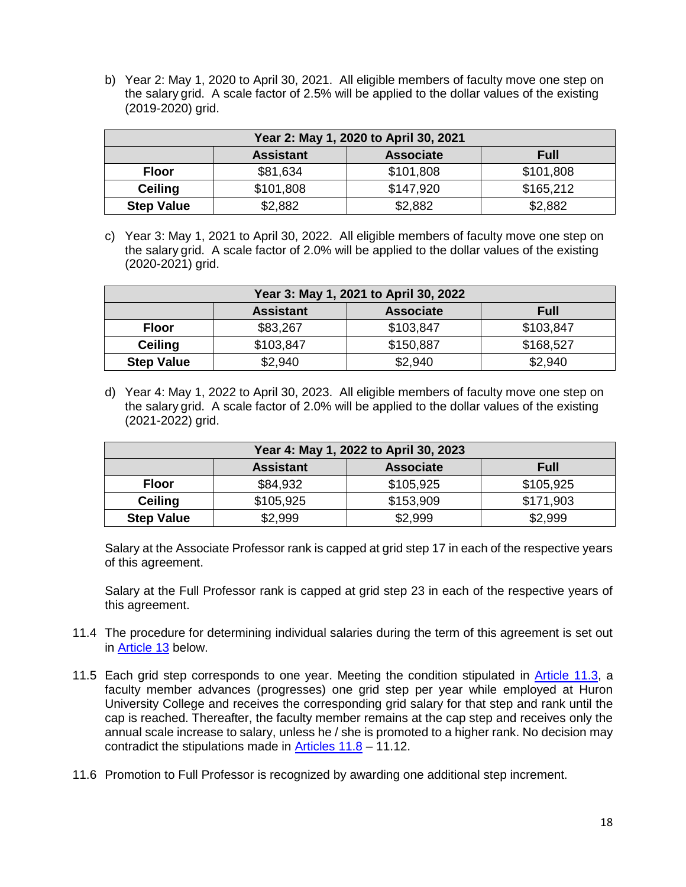b) Year 2: May 1, 2020 to April 30, 2021. All eligible members of faculty move one step on the salary grid. A scale factor of 2.5% will be applied to the dollar values of the existing (2019-2020) grid.

| Year 2: May 1, 2020 to April 30, 2021               |           |           |           |  |
|-----------------------------------------------------|-----------|-----------|-----------|--|
| <b>Associate</b><br><b>Full</b><br><b>Assistant</b> |           |           |           |  |
| <b>Floor</b>                                        | \$81,634  | \$101,808 | \$101,808 |  |
| <b>Ceiling</b>                                      | \$101,808 | \$147,920 | \$165,212 |  |
| <b>Step Value</b>                                   | \$2,882   | \$2,882   | \$2,882   |  |

c) Year 3: May 1, 2021 to April 30, 2022. All eligible members of faculty move one step on the salary grid. A scale factor of 2.0% will be applied to the dollar values of the existing (2020-2021) grid.

| Year 3: May 1, 2021 to April 30, 2022               |           |           |           |  |
|-----------------------------------------------------|-----------|-----------|-----------|--|
| <b>Assistant</b><br><b>Associate</b><br><b>Full</b> |           |           |           |  |
| Floor                                               | \$83,267  | \$103,847 | \$103,847 |  |
| <b>Ceiling</b>                                      | \$103,847 | \$150,887 | \$168,527 |  |
| <b>Step Value</b>                                   | \$2,940   | \$2,940   | \$2,940   |  |

d) Year 4: May 1, 2022 to April 30, 2023. All eligible members of faculty move one step on the salary grid. A scale factor of 2.0% will be applied to the dollar values of the existing (2021-2022) grid.

| Year 4: May 1, 2022 to April 30, 2023               |           |           |           |  |
|-----------------------------------------------------|-----------|-----------|-----------|--|
| <b>Associate</b><br><b>Assistant</b><br><b>Full</b> |           |           |           |  |
| <b>Floor</b>                                        | \$84,932  | \$105,925 | \$105,925 |  |
| <b>Ceiling</b>                                      | \$105,925 | \$153,909 | \$171,903 |  |
| <b>Step Value</b>                                   | \$2,999   | \$2,999   | \$2,999   |  |

Salary at the Associate Professor rank is capped at grid step 17 in each of the respective years of this agreement.

Salary at the Full Professor rank is capped at grid step 23 in each of the respective years of this agreement.

- 11.4 The procedure for determining individual salaries during the term of this agreement is set out in [Article 13](#page-25-0) below.
- 11.5 Each grid step corresponds to one year. Meeting the condition stipulated in [Article 11.3,](#page-16-1) a faculty member advances (progresses) one grid step per year while employed at Huron University College and receives the corresponding grid salary for that step and rank until the cap is reached. Thereafter, the faculty member remains at the cap step and receives only the annual scale increase to salary, unless he / she is promoted to a higher rank. No decision may contradict the stipulations made in [Articles 11.8](#page-18-0) - 11.12.
- 11.6 Promotion to Full Professor is recognized by awarding one additional step increment.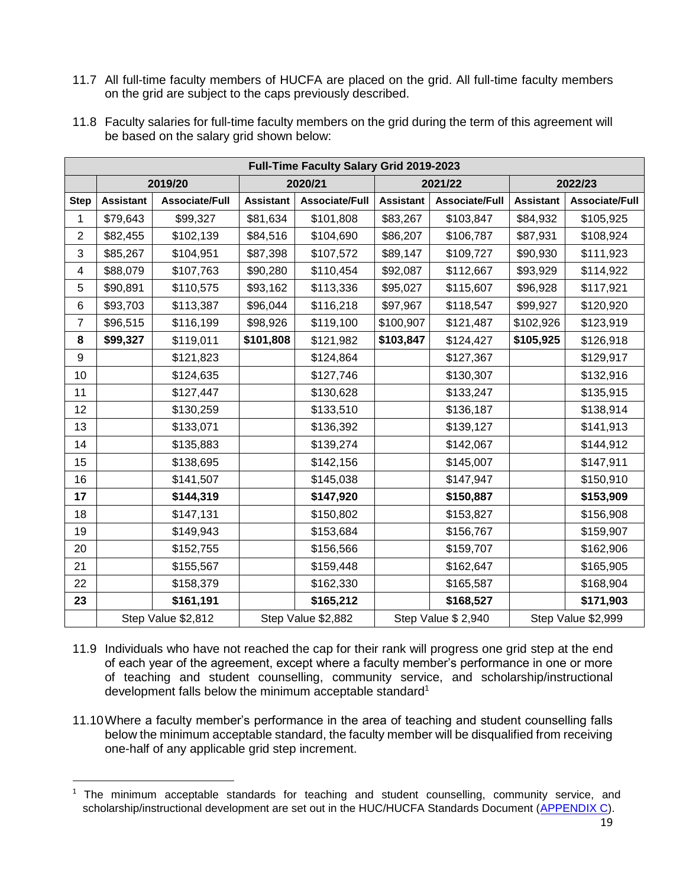11.7 All full-time faculty members of HUCFA are placed on the grid. All full-time faculty members on the grid are subject to the caps previously described.

<span id="page-18-0"></span>

| 11.8 Faculty salaries for full-time faculty members on the grid during the term of this agreement will |
|--------------------------------------------------------------------------------------------------------|
| be based on the salary grid shown below:                                                               |

|                | <b>Full-Time Faculty Salary Grid 2019-2023</b> |                       |                  |                    |                  |                       |                  |                    |  |
|----------------|------------------------------------------------|-----------------------|------------------|--------------------|------------------|-----------------------|------------------|--------------------|--|
|                | 2019/20                                        |                       | 2020/21          |                    | 2021/22          |                       |                  | 2022/23            |  |
| <b>Step</b>    | <b>Assistant</b>                               | <b>Associate/Full</b> | <b>Assistant</b> | Associate/Full     | <b>Assistant</b> | <b>Associate/Full</b> | <b>Assistant</b> | Associate/Full     |  |
| $\mathbf 1$    | \$79,643                                       | \$99,327              | \$81,634         | \$101,808          | \$83,267         | \$103,847             | \$84,932         | \$105,925          |  |
| $\overline{2}$ | \$82,455                                       | \$102,139             | \$84,516         | \$104,690          | \$86,207         | \$106,787             | \$87,931         | \$108,924          |  |
| 3              | \$85,267                                       | \$104,951             | \$87,398         | \$107,572          | \$89,147         | \$109,727             | \$90,930         | \$111,923          |  |
| 4              | \$88,079                                       | \$107,763             | \$90,280         | \$110,454          | \$92,087         | \$112,667             | \$93,929         | \$114,922          |  |
| 5              | \$90,891                                       | \$110,575             | \$93,162         | \$113,336          | \$95,027         | \$115,607             | \$96,928         | \$117,921          |  |
| 6              | \$93,703                                       | \$113,387             | \$96,044         | \$116,218          | \$97,967         | \$118,547             | \$99,927         | \$120,920          |  |
| $\overline{7}$ | \$96,515                                       | \$116,199             | \$98,926         | \$119,100          | \$100,907        | \$121,487             | \$102,926        | \$123,919          |  |
| 8              | \$99,327                                       | \$119,011             | \$101,808        | \$121,982          | \$103,847        | \$124,427             | \$105,925        | \$126,918          |  |
| 9              |                                                | \$121,823             |                  | \$124,864          |                  | \$127,367             |                  | \$129,917          |  |
| 10             |                                                | \$124,635             |                  | \$127,746          |                  | \$130,307             |                  | \$132,916          |  |
| 11             |                                                | \$127,447             |                  | \$130,628          |                  | \$133,247             |                  | \$135,915          |  |
| 12             |                                                | \$130,259             |                  | \$133,510          |                  | \$136,187             |                  | \$138,914          |  |
| 13             |                                                | \$133,071             |                  | \$136,392          |                  | \$139,127             |                  | \$141,913          |  |
| 14             |                                                | \$135,883             |                  | \$139,274          |                  | \$142,067             |                  | \$144,912          |  |
| 15             |                                                | \$138,695             |                  | \$142,156          |                  | \$145,007             |                  | \$147,911          |  |
| 16             |                                                | \$141,507             |                  | \$145,038          |                  | \$147,947             |                  | \$150,910          |  |
| 17             |                                                | \$144,319             |                  | \$147,920          |                  | \$150,887             |                  | \$153,909          |  |
| 18             |                                                | \$147,131             |                  | \$150,802          |                  | \$153,827             |                  | \$156,908          |  |
| 19             |                                                | \$149,943             |                  | \$153,684          |                  | \$156,767             |                  | \$159,907          |  |
| 20             |                                                | \$152,755             |                  | \$156,566          |                  | \$159,707             |                  | \$162,906          |  |
| 21             |                                                | \$155,567             |                  | \$159,448          |                  | \$162,647             |                  | \$165,905          |  |
| 22             |                                                | \$158,379             |                  | \$162,330          |                  | \$165,587             |                  | \$168,904          |  |
| 23             |                                                | \$161,191             |                  | \$165,212          |                  | \$168,527             |                  | \$171,903          |  |
|                |                                                | Step Value \$2,812    |                  | Step Value \$2,882 |                  | Step Value \$ 2,940   |                  | Step Value \$2,999 |  |

- 11.9 Individuals who have not reached the cap for their rank will progress one grid step at the end of each year of the agreement, except where a faculty member's performance in one or more of teaching and student counselling, community service, and scholarship/instructional development falls below the minimum acceptable standard<sup>1</sup>
- 11.10Where a faculty member's performance in the area of teaching and student counselling falls below the minimum acceptable standard, the faculty member will be disqualified from receiving one-half of any applicable grid step increment.

 $\overline{a}$ 

 $1$  The minimum acceptable standards for teaching and student counselling, community service, and scholarship/instructional development are set out in the HUC/HUCFA Standards Document [\(APPENDIX C\)](#page-38-0).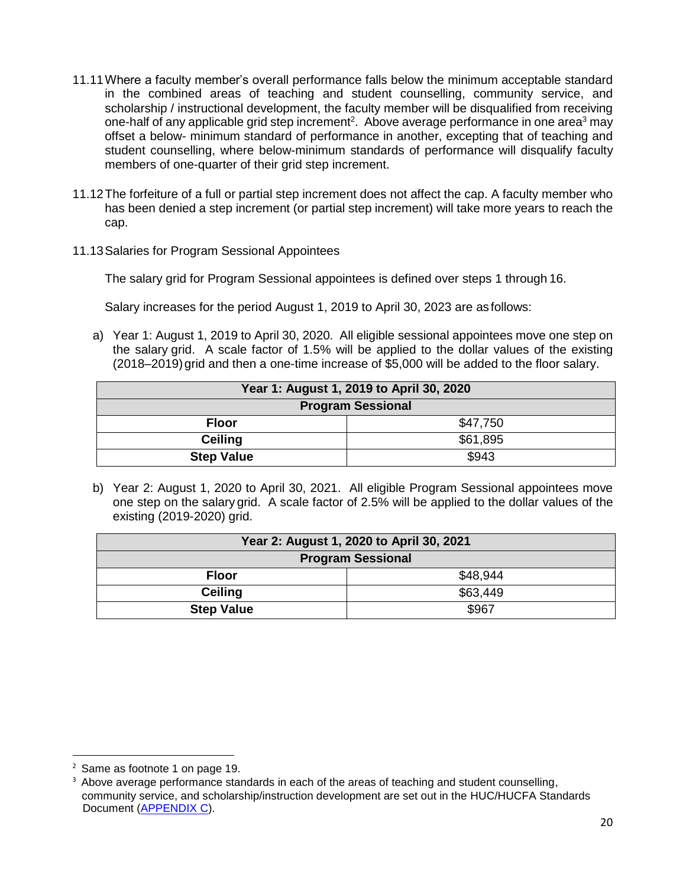- 11.11Where a faculty member's overall performance falls below the minimum acceptable standard in the combined areas of teaching and student counselling, community service, and scholarship / instructional development, the faculty member will be disqualified from receiving one-half of any applicable grid step increment<sup>2</sup>. Above average performance in one area<sup>3</sup> may offset a below- minimum standard of performance in another, excepting that of teaching and student counselling, where below-minimum standards of performance will disqualify faculty members of one-quarter of their grid step increment.
- 11.12The forfeiture of a full or partial step increment does not affect the cap. A faculty member who has been denied a step increment (or partial step increment) will take more years to reach the cap.
- 11.13Salaries for Program Sessional Appointees

The salary grid for Program Sessional appointees is defined over steps 1 through 16.

Salary increases for the period August 1, 2019 to April 30, 2023 are as follows:

a) Year 1: August 1, 2019 to April 30, 2020. All eligible sessional appointees move one step on the salary grid. A scale factor of 1.5% will be applied to the dollar values of the existing (2018–2019)grid and then a one-time increase of \$5,000 will be added to the floor salary.

| Year 1: August 1, 2019 to April 30, 2020 |          |  |
|------------------------------------------|----------|--|
| <b>Program Sessional</b>                 |          |  |
| <b>Floor</b>                             | \$47.750 |  |
| Ceiling                                  | \$61,895 |  |
| <b>Step Value</b>                        | \$943    |  |

b) Year 2: August 1, 2020 to April 30, 2021. All eligible Program Sessional appointees move one step on the salary grid. A scale factor of 2.5% will be applied to the dollar values of the existing (2019-2020) grid.

| Year 2: August 1, 2020 to April 30, 2021 |          |  |
|------------------------------------------|----------|--|
| <b>Program Sessional</b>                 |          |  |
| <b>Floor</b>                             | \$48.944 |  |
| Ceiling                                  | \$63,449 |  |
| <b>Step Value</b>                        | \$967    |  |

 $\overline{a}$ 

<sup>2</sup> Same as footnote 1 on page 19.

<sup>3</sup> Above average performance standards in each of the areas of teaching and student counselling, community service, and scholarship/instruction development are set out in the HUC/HUCFA Standards Document [\(APPENDIX C\)](#page-38-0).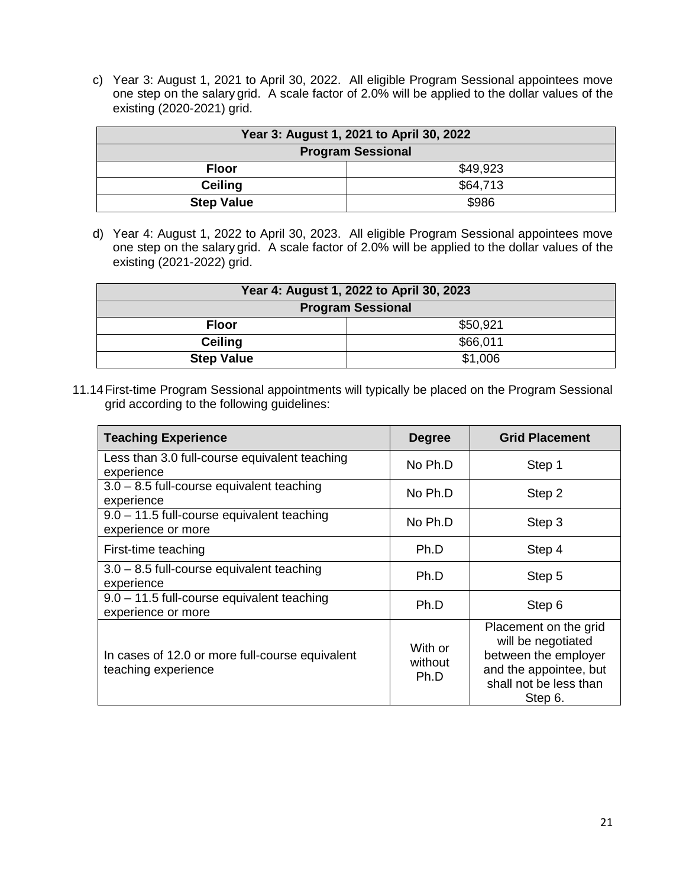c) Year 3: August 1, 2021 to April 30, 2022. All eligible Program Sessional appointees move one step on the salary grid. A scale factor of 2.0% will be applied to the dollar values of the existing (2020-2021) grid.

| Year 3: August 1, 2021 to April 30, 2022 |          |  |
|------------------------------------------|----------|--|
| <b>Program Sessional</b>                 |          |  |
| <b>Floor</b>                             | \$49.923 |  |
| <b>Ceiling</b>                           | \$64,713 |  |
| <b>Step Value</b>                        | \$986    |  |

d) Year 4: August 1, 2022 to April 30, 2023. All eligible Program Sessional appointees move one step on the salary grid. A scale factor of 2.0% will be applied to the dollar values of the existing (2021-2022) grid.

| Year 4: August 1, 2022 to April 30, 2023 |          |  |
|------------------------------------------|----------|--|
| <b>Program Sessional</b>                 |          |  |
| <b>Floor</b>                             | \$50,921 |  |
| <b>Ceiling</b>                           | \$66,011 |  |
| <b>Step Value</b>                        | \$1,006  |  |

11.14First-time Program Sessional appointments will typically be placed on the Program Sessional grid according to the following guidelines:

| <b>Teaching Experience</b>                                             | <b>Degree</b>              | <b>Grid Placement</b>                                                                                                              |
|------------------------------------------------------------------------|----------------------------|------------------------------------------------------------------------------------------------------------------------------------|
| Less than 3.0 full-course equivalent teaching<br>experience            | No Ph.D                    | Step 1                                                                                                                             |
| $3.0 - 8.5$ full-course equivalent teaching<br>experience              | No Ph.D                    | Step 2                                                                                                                             |
| $9.0 - 11.5$ full-course equivalent teaching<br>experience or more     | No Ph.D                    | Step 3                                                                                                                             |
| First-time teaching                                                    | Ph.D                       | Step 4                                                                                                                             |
| $3.0 - 8.5$ full-course equivalent teaching<br>experience              | Ph.D                       | Step 5                                                                                                                             |
| 9.0 - 11.5 full-course equivalent teaching<br>experience or more       | Ph.D                       | Step 6                                                                                                                             |
| In cases of 12.0 or more full-course equivalent<br>teaching experience | With or<br>without<br>Ph.D | Placement on the grid<br>will be negotiated<br>between the employer<br>and the appointee, but<br>shall not be less than<br>Step 6. |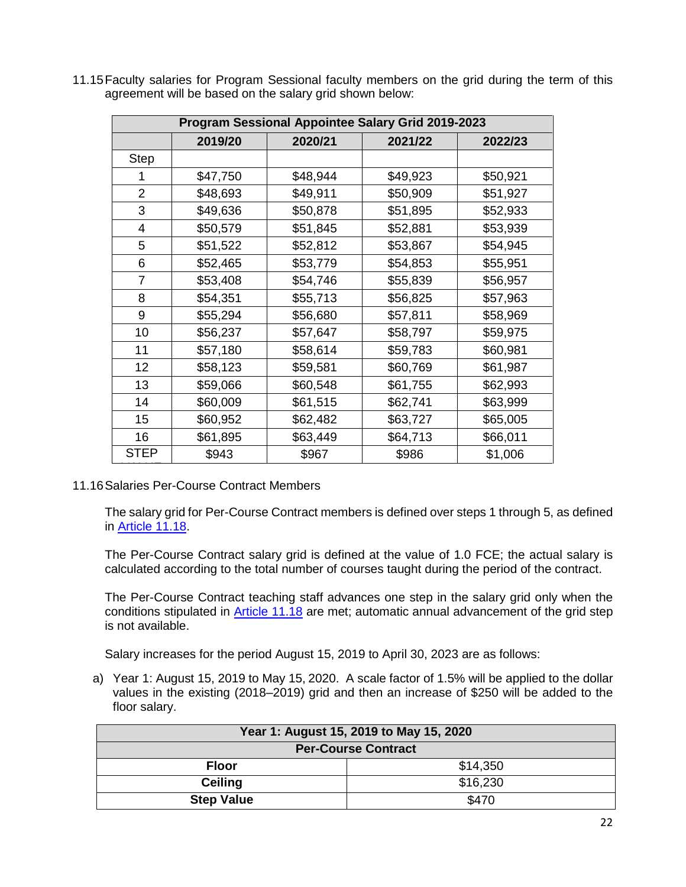| Program Sessional Appointee Salary Grid 2019-2023 |          |          |          |          |
|---------------------------------------------------|----------|----------|----------|----------|
|                                                   | 2019/20  | 2020/21  | 2021/22  | 2022/23  |
| <b>Step</b>                                       |          |          |          |          |
|                                                   | \$47,750 | \$48,944 | \$49,923 | \$50,921 |
| $\overline{2}$                                    | \$48,693 | \$49,911 | \$50,909 | \$51,927 |
| 3                                                 | \$49,636 | \$50,878 | \$51,895 | \$52,933 |
| 4                                                 | \$50,579 | \$51,845 | \$52,881 | \$53,939 |
| 5                                                 | \$51,522 | \$52,812 | \$53,867 | \$54,945 |
| 6                                                 | \$52,465 | \$53,779 | \$54,853 | \$55,951 |
| 7                                                 | \$53,408 | \$54,746 | \$55,839 | \$56,957 |
| 8                                                 | \$54,351 | \$55,713 | \$56,825 | \$57,963 |
| 9                                                 | \$55,294 | \$56,680 | \$57,811 | \$58,969 |
| 10                                                | \$56,237 | \$57,647 | \$58,797 | \$59,975 |
| 11                                                | \$57,180 | \$58,614 | \$59,783 | \$60,981 |
| 12                                                | \$58,123 | \$59,581 | \$60,769 | \$61,987 |
| 13                                                | \$59,066 | \$60,548 | \$61,755 | \$62,993 |
| 14                                                | \$60,009 | \$61,515 | \$62,741 | \$63,999 |
| 15                                                | \$60,952 | \$62,482 | \$63,727 | \$65,005 |
| 16                                                | \$61,895 | \$63,449 | \$64,713 | \$66,011 |
| <b>STEP</b>                                       | \$943    | \$967    | \$986    | \$1,006  |

11.15Faculty salaries for Program Sessional faculty members on the grid during the term of this agreement will be based on the salary grid shown below:

11.16Salaries Per-Course Contract Members

The salary grid for Per-Course Contract members is defined over steps 1 through 5, as defined in [Article 11.18.](#page-22-0)

The Per-Course Contract salary grid is defined at the value of 1.0 FCE; the actual salary is calculated according to the total number of courses taught during the period of the contract.

The Per-Course Contract teaching staff advances one step in the salary grid only when the conditions stipulated in [Article 11.18](#page-22-0) are met; automatic annual advancement of the grid step is not available.

Salary increases for the period August 15, 2019 to April 30, 2023 are as follows:

a) Year 1: August 15, 2019 to May 15, 2020. A scale factor of 1.5% will be applied to the dollar values in the existing (2018–2019) grid and then an increase of \$250 will be added to the floor salary.

| Year 1: August 15, 2019 to May 15, 2020 |          |  |  |
|-----------------------------------------|----------|--|--|
| <b>Per-Course Contract</b>              |          |  |  |
| <b>Floor</b>                            | \$14,350 |  |  |
| <b>Ceiling</b>                          | \$16,230 |  |  |
| <b>Step Value</b>                       | \$470    |  |  |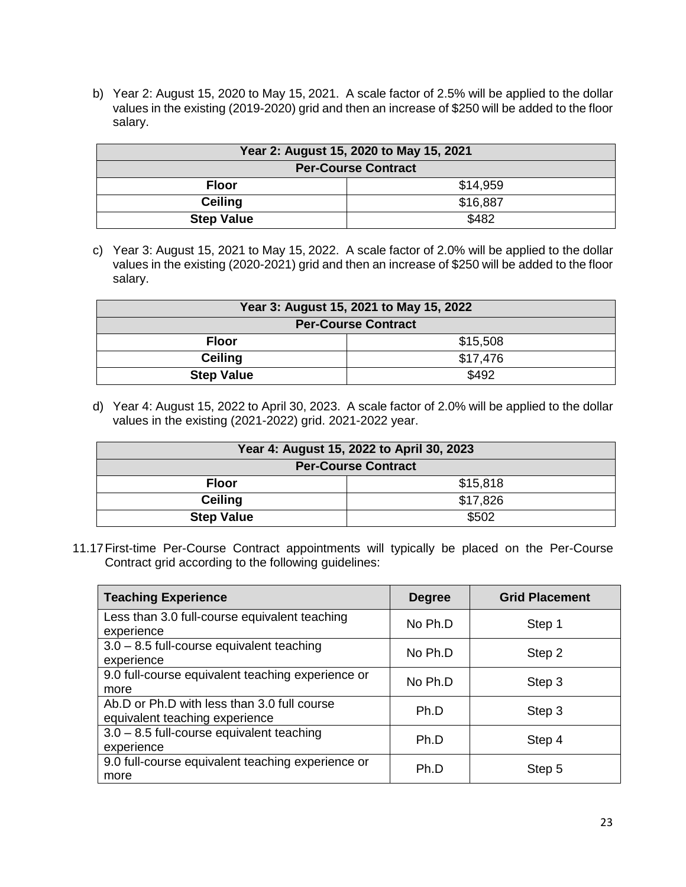b) Year 2: August 15, 2020 to May 15, 2021. A scale factor of 2.5% will be applied to the dollar values in the existing (2019-2020) grid and then an increase of \$250 will be added to the floor salary.

| Year 2: August 15, 2020 to May 15, 2021 |          |  |  |
|-----------------------------------------|----------|--|--|
| <b>Per-Course Contract</b>              |          |  |  |
| <b>Floor</b>                            | \$14,959 |  |  |
| <b>Ceiling</b>                          | \$16,887 |  |  |
| <b>Step Value</b>                       | \$482    |  |  |

c) Year 3: August 15, 2021 to May 15, 2022. A scale factor of 2.0% will be applied to the dollar values in the existing (2020-2021) grid and then an increase of \$250 will be added to the floor salary.

| Year 3: August 15, 2021 to May 15, 2022 |          |  |  |
|-----------------------------------------|----------|--|--|
| <b>Per-Course Contract</b>              |          |  |  |
| <b>Floor</b>                            | \$15,508 |  |  |
| <b>Ceiling</b>                          | \$17,476 |  |  |
| <b>Step Value</b>                       | \$492    |  |  |

d) Year 4: August 15, 2022 to April 30, 2023. A scale factor of 2.0% will be applied to the dollar values in the existing (2021-2022) grid. 2021-2022 year.

| Year 4: August 15, 2022 to April 30, 2023 |          |  |  |
|-------------------------------------------|----------|--|--|
| <b>Per-Course Contract</b>                |          |  |  |
| <b>Floor</b>                              | \$15,818 |  |  |
| <b>Ceiling</b>                            | \$17,826 |  |  |
| <b>Step Value</b>                         | \$502    |  |  |

11.17First-time Per-Course Contract appointments will typically be placed on the Per-Course Contract grid according to the following guidelines:

<span id="page-22-0"></span>

| <b>Teaching Experience</b>                                                    | <b>Degree</b> | <b>Grid Placement</b> |
|-------------------------------------------------------------------------------|---------------|-----------------------|
| Less than 3.0 full-course equivalent teaching<br>experience                   | No Ph.D       | Step 1                |
| $3.0 - 8.5$ full-course equivalent teaching<br>experience                     | No Ph.D       | Step 2                |
| 9.0 full-course equivalent teaching experience or<br>more                     | No Ph.D       | Step 3                |
| Ab.D or Ph.D with less than 3.0 full course<br>equivalent teaching experience | Ph.D          | Step 3                |
| $3.0 - 8.5$ full-course equivalent teaching<br>experience                     | Ph.D          | Step 4                |
| 9.0 full-course equivalent teaching experience or<br>more                     | Ph.D          | Step 5                |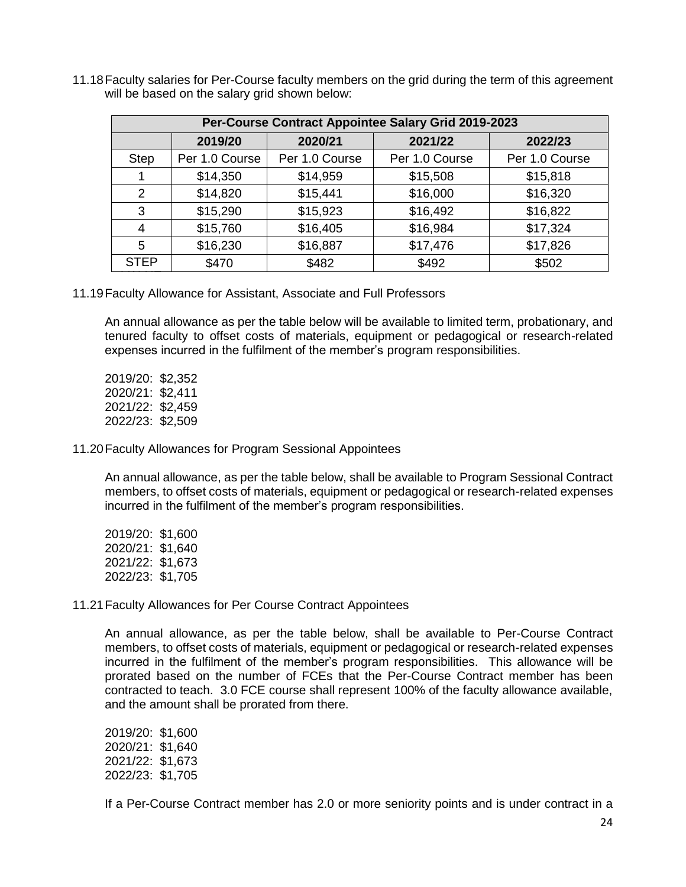| Per-Course Contract Appointee Salary Grid 2019-2023 |                |                |                |                |
|-----------------------------------------------------|----------------|----------------|----------------|----------------|
|                                                     | 2019/20        | 2020/21        | 2021/22        | 2022/23        |
| <b>Step</b>                                         | Per 1.0 Course | Per 1.0 Course | Per 1.0 Course | Per 1.0 Course |
|                                                     | \$14,350       | \$14,959       | \$15,508       | \$15,818       |
| 2                                                   | \$14,820       | \$15,441       | \$16,000       | \$16,320       |
| 3                                                   | \$15,290       | \$15,923       | \$16,492       | \$16,822       |
| 4                                                   | \$15,760       | \$16,405       | \$16,984       | \$17,324       |
| 5                                                   | \$16,230       | \$16,887       | \$17,476       | \$17,826       |
| <b>STEP</b>                                         | \$470          | \$482          | \$492          | \$502          |

11.18Faculty salaries for Per-Course faculty members on the grid during the term of this agreement will be based on the salary grid shown below:

11.19Faculty Allowance for Assistant, Associate and Full Professors

An annual allowance as per the table below will be available to limited term, probationary, and tenured faculty to offset costs of materials, equipment or pedagogical or research-related expenses incurred in the fulfilment of the member's program responsibilities.

2019/20: \$2,352 2020/21: \$2,411 2021/22: \$2,459 2022/23: \$2,509

11.20Faculty Allowances for Program Sessional Appointees

An annual allowance, as per the table below, shall be available to Program Sessional Contract members, to offset costs of materials, equipment or pedagogical or research-related expenses incurred in the fulfilment of the member's program responsibilities.

2019/20: \$1,600 2020/21: \$1,640 2021/22: \$1,673 2022/23: \$1,705

#### 11.21Faculty Allowances for Per Course Contract Appointees

An annual allowance, as per the table below, shall be available to Per-Course Contract members, to offset costs of materials, equipment or pedagogical or research-related expenses incurred in the fulfilment of the member's program responsibilities. This allowance will be prorated based on the number of FCEs that the Per-Course Contract member has been contracted to teach. 3.0 FCE course shall represent 100% of the faculty allowance available, and the amount shall be prorated from there.

2019/20: \$1,600 2020/21: \$1,640 2021/22: \$1,673 2022/23: \$1,705

If a Per-Course Contract member has 2.0 or more seniority points and is under contract in a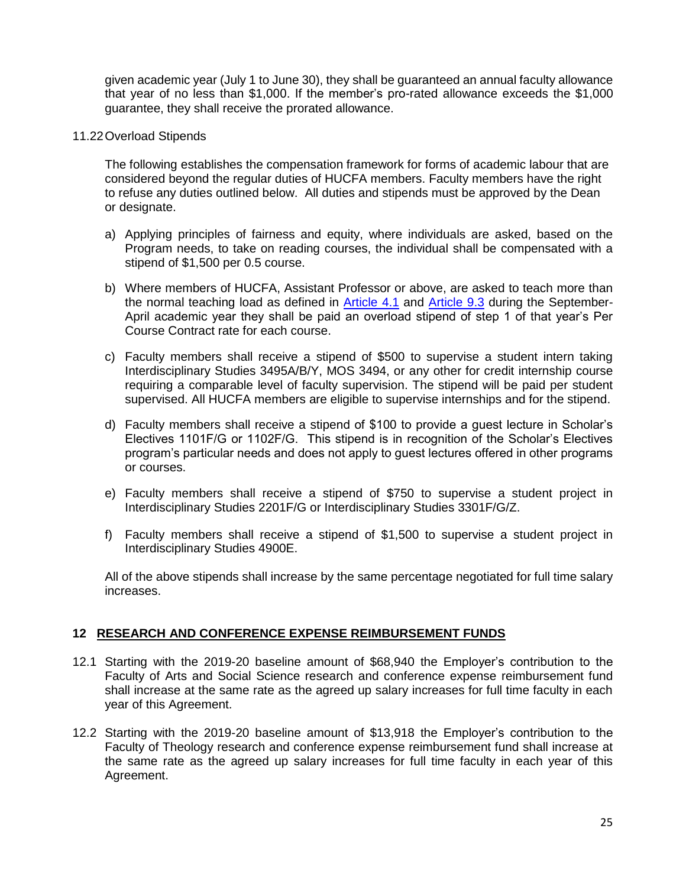given academic year (July 1 to June 30), they shall be guaranteed an annual faculty allowance that year of no less than \$1,000. If the member's pro-rated allowance exceeds the \$1,000 guarantee, they shall receive the prorated allowance.

<span id="page-24-1"></span>11.22Overload Stipends

The following establishes the compensation framework for forms of academic labour that are considered beyond the regular duties of HUCFA members. Faculty members have the right to refuse any duties outlined below. All duties and stipends must be approved by the Dean or designate.

- a) Applying principles of fairness and equity, where individuals are asked, based on the Program needs, to take on reading courses, the individual shall be compensated with a stipend of \$1,500 per 0.5 course.
- b) Where members of HUCFA, Assistant Professor or above, are asked to teach more than the normal teaching load as defined in [Article](#page-7-1) 4.1 and [Article](#page-14-1) 9.3 during the September-April academic year they shall be paid an overload stipend of step 1 of that year's Per Course Contract rate for each course.
- c) Faculty members shall receive a stipend of \$500 to supervise a student intern taking Interdisciplinary Studies 3495A/B/Y, MOS 3494, or any other for credit internship course requiring a comparable level of faculty supervision. The stipend will be paid per student supervised. All HUCFA members are eligible to supervise internships and for the stipend.
- d) Faculty members shall receive a stipend of \$100 to provide a guest lecture in Scholar's Electives 1101F/G or 1102F/G. This stipend is in recognition of the Scholar's Electives program's particular needs and does not apply to guest lectures offered in other programs or courses.
- e) Faculty members shall receive a stipend of \$750 to supervise a student project in Interdisciplinary Studies 2201F/G or Interdisciplinary Studies 3301F/G/Z.
- f) Faculty members shall receive a stipend of \$1,500 to supervise a student project in Interdisciplinary Studies 4900E.

All of the above stipends shall increase by the same percentage negotiated for full time salary increases.

### <span id="page-24-0"></span>**12 RESEARCH AND CONFERENCE EXPENSE REIMBURSEMENT FUNDS**

- 12.1 Starting with the 2019-20 baseline amount of \$68,940 the Employer's contribution to the Faculty of Arts and Social Science research and conference expense reimbursement fund shall increase at the same rate as the agreed up salary increases for full time faculty in each year of this Agreement.
- 12.2 Starting with the 2019-20 baseline amount of \$13,918 the Employer's contribution to the Faculty of Theology research and conference expense reimbursement fund shall increase at the same rate as the agreed up salary increases for full time faculty in each year of this Agreement.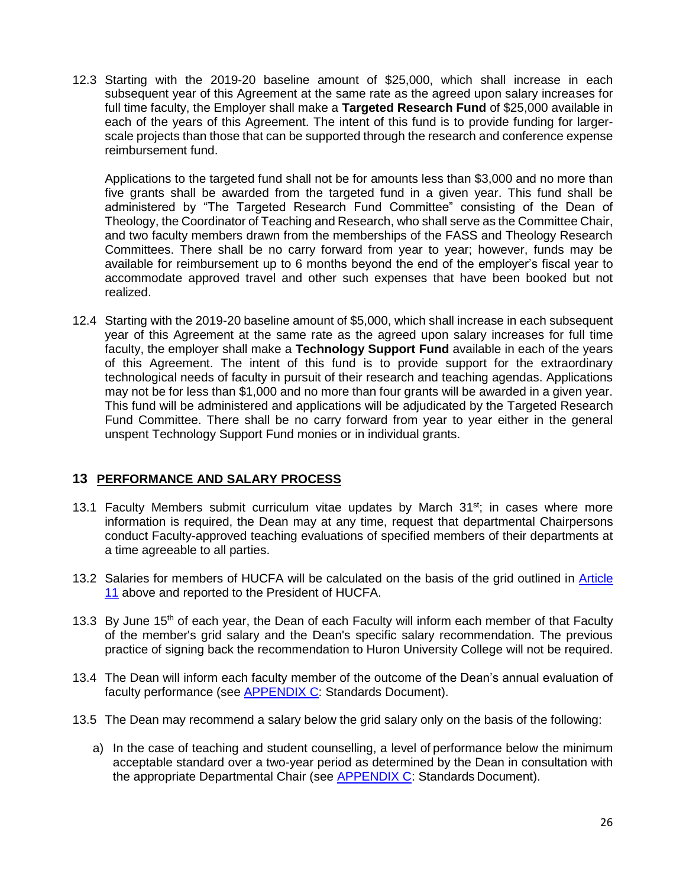12.3 Starting with the 2019-20 baseline amount of \$25,000, which shall increase in each subsequent year of this Agreement at the same rate as the agreed upon salary increases for full time faculty, the Employer shall make a **Targeted Research Fund** of \$25,000 available in each of the years of this Agreement. The intent of this fund is to provide funding for largerscale projects than those that can be supported through the research and conference expense reimbursement fund.

Applications to the targeted fund shall not be for amounts less than \$3,000 and no more than five grants shall be awarded from the targeted fund in a given year. This fund shall be administered by "The Targeted Research Fund Committee" consisting of the Dean of Theology, the Coordinator of Teaching and Research, who shall serve as the Committee Chair, and two faculty members drawn from the memberships of the FASS and Theology Research Committees. There shall be no carry forward from year to year; however, funds may be available for reimbursement up to 6 months beyond the end of the employer's fiscal year to accommodate approved travel and other such expenses that have been booked but not realized.

<span id="page-25-1"></span>12.4 Starting with the 2019-20 baseline amount of \$5,000, which shall increase in each subsequent year of this Agreement at the same rate as the agreed upon salary increases for full time faculty, the employer shall make a **Technology Support Fund** available in each of the years of this Agreement. The intent of this fund is to provide support for the extraordinary technological needs of faculty in pursuit of their research and teaching agendas. Applications may not be for less than \$1,000 and no more than four grants will be awarded in a given year. This fund will be administered and applications will be adjudicated by the Targeted Research Fund Committee. There shall be no carry forward from year to year either in the general unspent Technology Support Fund monies or in individual grants.

### <span id="page-25-0"></span>**13 PERFORMANCE AND SALARY PROCESS**

- 13.1 Faculty Members submit curriculum vitae updates by March 31<sup>st</sup>; in cases where more information is required, the Dean may at any time, request that departmental Chairpersons conduct Faculty-approved teaching evaluations of specified members of their departments at a time agreeable to all parties.
- 13.2 Salaries for members of HUCFA will be calculated on the basis of the grid outlined in **Article** [11](#page-16-0) above and reported to the President of HUCFA.
- 13.3 By June 15<sup>th</sup> of each year, the Dean of each Faculty will inform each member of that Faculty of the member's grid salary and the Dean's specific salary recommendation. The previous practice of signing back the recommendation to Huron University College will not be required.
- 13.4 The Dean will inform each faculty member of the outcome of the Dean's annual evaluation of faculty performance (see [APPENDIX C:](#page-38-0) Standards Document).
- <span id="page-25-2"></span>13.5 The Dean may recommend a salary below the grid salary only on the basis of the following:
	- a) In the case of teaching and student counselling, a level of performance below the minimum acceptable standard over a two-year period as determined by the Dean in consultation with the appropriate Departmental Chair (see [APPENDIX C:](#page-38-0) Standards Document).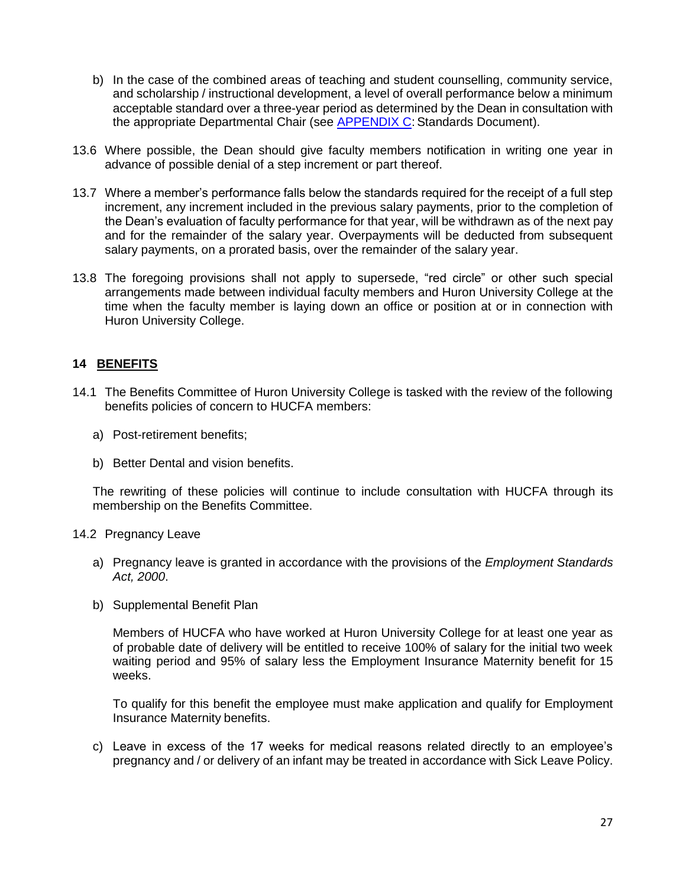- b) In the case of the combined areas of teaching and student counselling, community service, and scholarship / instructional development, a level of overall performance below a minimum acceptable standard over a three-year period as determined by the Dean in consultation with the appropriate Departmental Chair (see **APPENDIX C**: Standards Document).
- 13.6 Where possible, the Dean should give faculty members notification in writing one year in advance of possible denial of a step increment or part thereof.
- 13.7 Where a member's performance falls below the standards required for the receipt of a full step increment, any increment included in the previous salary payments, prior to the completion of the Dean's evaluation of faculty performance for that year, will be withdrawn as of the next pay and for the remainder of the salary year. Overpayments will be deducted from subsequent salary payments, on a prorated basis, over the remainder of the salary year.
- 13.8 The foregoing provisions shall not apply to supersede, "red circle" or other such special arrangements made between individual faculty members and Huron University College at the time when the faculty member is laying down an office or position at or in connection with Huron University College.

### <span id="page-26-0"></span>**14 BENEFITS**

- 14.1 The Benefits Committee of Huron University College is tasked with the review of the following benefits policies of concern to HUCFA members:
	- a) Post-retirement benefits;
	- b) Better Dental and vision benefits.

The rewriting of these policies will continue to include consultation with HUCFA through its membership on the Benefits Committee.

#### 14.2 Pregnancy Leave

- a) Pregnancy leave is granted in accordance with the provisions of the *Employment Standards Act, 2000*.
- b) Supplemental Benefit Plan

Members of HUCFA who have worked at Huron University College for at least one year as of probable date of delivery will be entitled to receive 100% of salary for the initial two week waiting period and 95% of salary less the Employment Insurance Maternity benefit for 15 weeks.

To qualify for this benefit the employee must make application and qualify for Employment Insurance Maternity benefits.

c) Leave in excess of the 17 weeks for medical reasons related directly to an employee's pregnancy and / or delivery of an infant may be treated in accordance with Sick Leave Policy.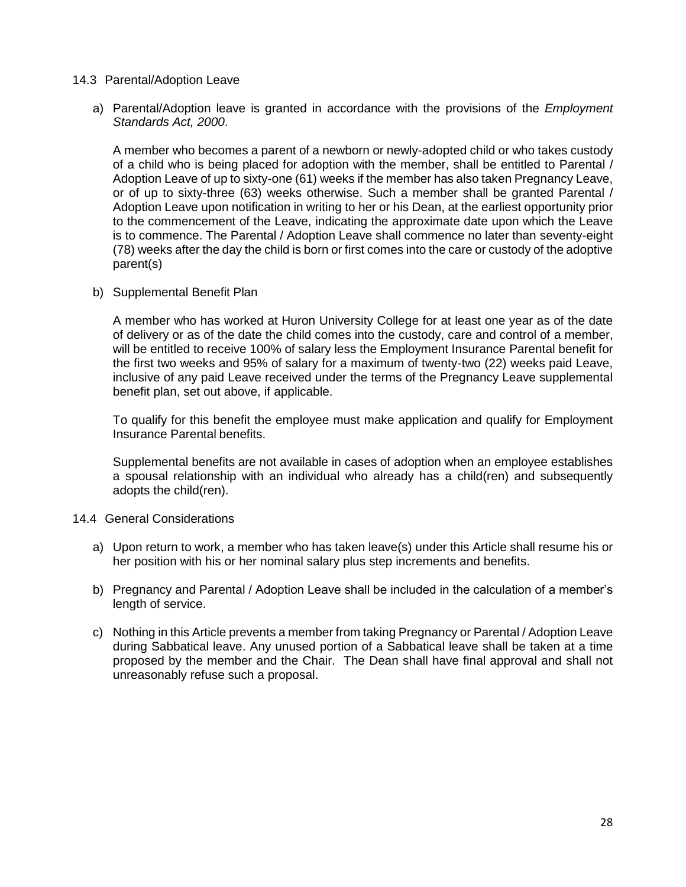- 14.3 Parental/Adoption Leave
	- a) Parental/Adoption leave is granted in accordance with the provisions of the *Employment Standards Act, 2000*.

A member who becomes a parent of a newborn or newly-adopted child or who takes custody of a child who is being placed for adoption with the member, shall be entitled to Parental / Adoption Leave of up to sixty-one (61) weeks if the member has also taken Pregnancy Leave, or of up to sixty-three (63) weeks otherwise. Such a member shall be granted Parental / Adoption Leave upon notification in writing to her or his Dean, at the earliest opportunity prior to the commencement of the Leave, indicating the approximate date upon which the Leave is to commence. The Parental / Adoption Leave shall commence no later than seventy-eight (78) weeks after the day the child is born or first comes into the care or custody of the adoptive parent(s)

b) Supplemental Benefit Plan

A member who has worked at Huron University College for at least one year as of the date of delivery or as of the date the child comes into the custody, care and control of a member, will be entitled to receive 100% of salary less the Employment Insurance Parental benefit for the first two weeks and 95% of salary for a maximum of twenty-two (22) weeks paid Leave, inclusive of any paid Leave received under the terms of the Pregnancy Leave supplemental benefit plan, set out above, if applicable.

To qualify for this benefit the employee must make application and qualify for Employment Insurance Parental benefits.

Supplemental benefits are not available in cases of adoption when an employee establishes a spousal relationship with an individual who already has a child(ren) and subsequently adopts the child(ren).

#### 14.4 General Considerations

- a) Upon return to work, a member who has taken leave(s) under this Article shall resume his or her position with his or her nominal salary plus step increments and benefits.
- b) Pregnancy and Parental / Adoption Leave shall be included in the calculation of a member's length of service.
- c) Nothing in this Article prevents a member from taking Pregnancy or Parental / Adoption Leave during Sabbatical leave. Any unused portion of a Sabbatical leave shall be taken at a time proposed by the member and the Chair. The Dean shall have final approval and shall not unreasonably refuse such a proposal.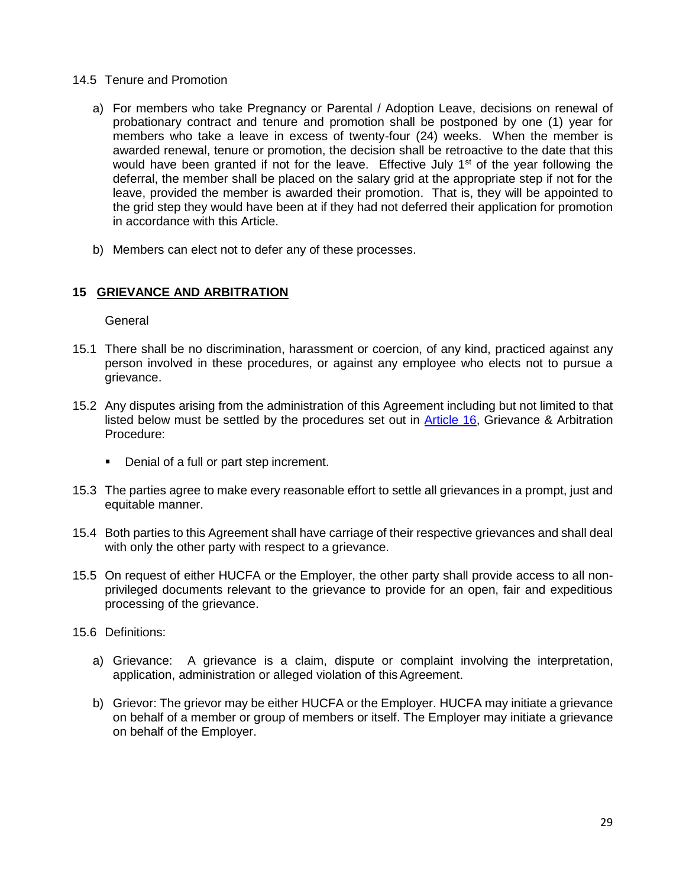- 14.5 Tenure and Promotion
	- a) For members who take Pregnancy or Parental / Adoption Leave, decisions on renewal of probationary contract and tenure and promotion shall be postponed by one (1) year for members who take a leave in excess of twenty-four (24) weeks. When the member is awarded renewal, tenure or promotion, the decision shall be retroactive to the date that this would have been granted if not for the leave. Effective July  $1<sup>st</sup>$  of the year following the deferral, the member shall be placed on the salary grid at the appropriate step if not for the leave, provided the member is awarded their promotion. That is, they will be appointed to the grid step they would have been at if they had not deferred their application for promotion in accordance with this Article.
	- b) Members can elect not to defer any of these processes.

### <span id="page-28-0"></span>**15 GRIEVANCE AND ARBITRATION**

General

- 15.1 There shall be no discrimination, harassment or coercion, of any kind, practiced against any person involved in these procedures, or against any employee who elects not to pursue a grievance.
- 15.2 Any disputes arising from the administration of this Agreement including but not limited to that listed below must be settled by the procedures set out in [Article 16,](#page-30-0) Grievance & Arbitration Procedure:
	- **•** Denial of a full or part step increment.
- 15.3 The parties agree to make every reasonable effort to settle all grievances in a prompt, just and equitable manner.
- 15.4 Both parties to this Agreement shall have carriage of their respective grievances and shall deal with only the other party with respect to a grievance.
- 15.5 On request of either HUCFA or the Employer, the other party shall provide access to all nonprivileged documents relevant to the grievance to provide for an open, fair and expeditious processing of the grievance.
- 15.6 Definitions:
	- a) Grievance: A grievance is a claim, dispute or complaint involving the interpretation, application, administration or alleged violation of this Agreement.
	- b) Grievor: The grievor may be either HUCFA or the Employer. HUCFA may initiate a grievance on behalf of a member or group of members or itself. The Employer may initiate a grievance on behalf of the Employer.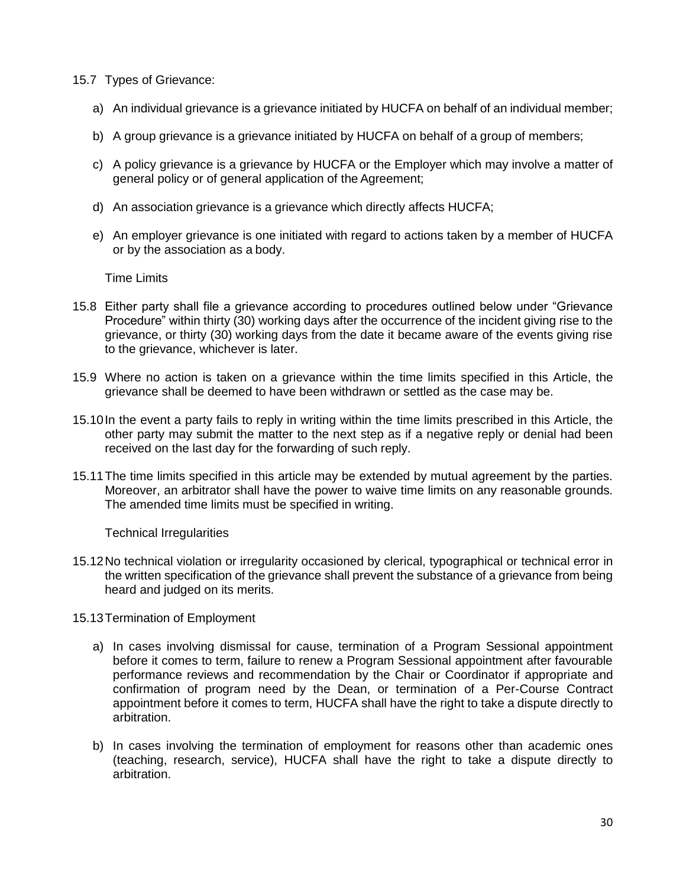- 15.7 Types of Grievance:
	- a) An individual grievance is a grievance initiated by HUCFA on behalf of an individual member;
	- b) A group grievance is a grievance initiated by HUCFA on behalf of a group of members;
	- c) A policy grievance is a grievance by HUCFA or the Employer which may involve a matter of general policy or of general application of the Agreement;
	- d) An association grievance is a grievance which directly affects HUCFA;
	- e) An employer grievance is one initiated with regard to actions taken by a member of HUCFA or by the association as a body.

Time Limits

- 15.8 Either party shall file a grievance according to procedures outlined below under "Grievance Procedure" within thirty (30) working days after the occurrence of the incident giving rise to the grievance, or thirty (30) working days from the date it became aware of the events giving rise to the grievance, whichever is later.
- 15.9 Where no action is taken on a grievance within the time limits specified in this Article, the grievance shall be deemed to have been withdrawn or settled as the case may be.
- 15.10In the event a party fails to reply in writing within the time limits prescribed in this Article, the other party may submit the matter to the next step as if a negative reply or denial had been received on the last day for the forwarding of such reply.
- 15.11The time limits specified in this article may be extended by mutual agreement by the parties. Moreover, an arbitrator shall have the power to waive time limits on any reasonable grounds. The amended time limits must be specified in writing.

Technical Irregularities

- 15.12No technical violation or irregularity occasioned by clerical, typographical or technical error in the written specification of the grievance shall prevent the substance of a grievance from being heard and judged on its merits.
- 15.13Termination of Employment
	- a) In cases involving dismissal for cause, termination of a Program Sessional appointment before it comes to term, failure to renew a Program Sessional appointment after favourable performance reviews and recommendation by the Chair or Coordinator if appropriate and confirmation of program need by the Dean, or termination of a Per-Course Contract appointment before it comes to term, HUCFA shall have the right to take a dispute directly to arbitration.
	- b) In cases involving the termination of employment for reasons other than academic ones (teaching, research, service), HUCFA shall have the right to take a dispute directly to arbitration.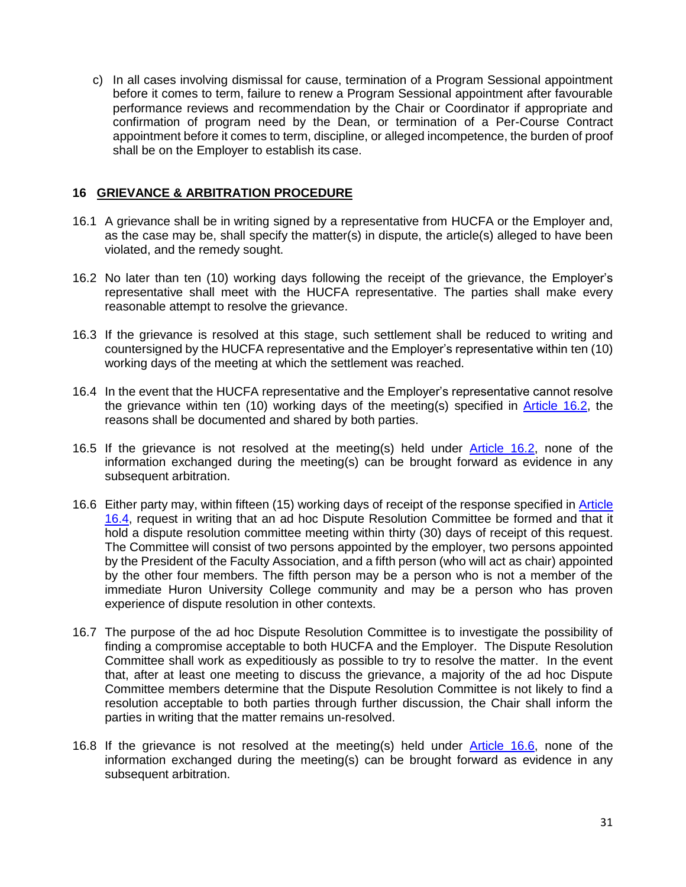c) In all cases involving dismissal for cause, termination of a Program Sessional appointment before it comes to term, failure to renew a Program Sessional appointment after favourable performance reviews and recommendation by the Chair or Coordinator if appropriate and confirmation of program need by the Dean, or termination of a Per-Course Contract appointment before it comes to term, discipline, or alleged incompetence, the burden of proof shall be on the Employer to establish its case.

### <span id="page-30-0"></span>**16 GRIEVANCE & ARBITRATION PROCEDURE**

- 16.1 A grievance shall be in writing signed by a representative from HUCFA or the Employer and, as the case may be, shall specify the matter(s) in dispute, the article(s) alleged to have been violated, and the remedy sought.
- <span id="page-30-1"></span>16.2 No later than ten (10) working days following the receipt of the grievance, the Employer's representative shall meet with the HUCFA representative. The parties shall make every reasonable attempt to resolve the grievance.
- 16.3 If the grievance is resolved at this stage, such settlement shall be reduced to writing and countersigned by the HUCFA representative and the Employer's representative within ten (10) working days of the meeting at which the settlement was reached.
- <span id="page-30-2"></span>16.4 In the event that the HUCFA representative and the Employer's representative cannot resolve the grievance within ten (10) working days of the meeting(s) specified in [Article 16.2,](#page-30-1) the reasons shall be documented and shared by both parties.
- 16.5 If the grievance is not resolved at the meeting(s) held under [Article 16.2,](#page-30-1) none of the information exchanged during the meeting(s) can be brought forward as evidence in any subsequent arbitration.
- <span id="page-30-3"></span>16.6 Either party may, within fifteen (15) working days of receipt of the response specified in **Article** [16.4,](#page-30-2) request in writing that an ad hoc Dispute Resolution Committee be formed and that it hold a dispute resolution committee meeting within thirty (30) days of receipt of this request. The Committee will consist of two persons appointed by the employer, two persons appointed by the President of the Faculty Association, and a fifth person (who will act as chair) appointed by the other four members. The fifth person may be a person who is not a member of the immediate Huron University College community and may be a person who has proven experience of dispute resolution in other contexts.
- <span id="page-30-4"></span>16.7 The purpose of the ad hoc Dispute Resolution Committee is to investigate the possibility of finding a compromise acceptable to both HUCFA and the Employer. The Dispute Resolution Committee shall work as expeditiously as possible to try to resolve the matter. In the event that, after at least one meeting to discuss the grievance, a majority of the ad hoc Dispute Committee members determine that the Dispute Resolution Committee is not likely to find a resolution acceptable to both parties through further discussion, the Chair shall inform the parties in writing that the matter remains un-resolved.
- 16.8 If the grievance is not resolved at the meeting(s) held under [Article](#page-30-3) 16.6, none of the information exchanged during the meeting(s) can be brought forward as evidence in any subsequent arbitration.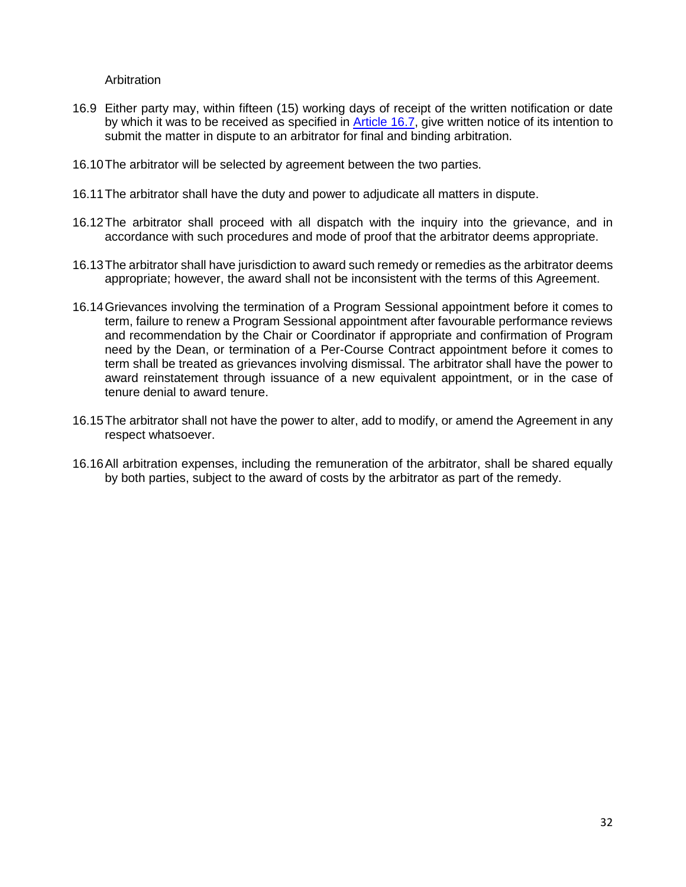**Arbitration** 

- 16.9 Either party may, within fifteen (15) working days of receipt of the written notification or date by which it was to be received as specified in [Article 16.7,](#page-30-4) give written notice of its intention to submit the matter in dispute to an arbitrator for final and binding arbitration.
- 16.10The arbitrator will be selected by agreement between the two parties.
- 16.11The arbitrator shall have the duty and power to adjudicate all matters in dispute.
- 16.12The arbitrator shall proceed with all dispatch with the inquiry into the grievance, and in accordance with such procedures and mode of proof that the arbitrator deems appropriate.
- 16.13The arbitrator shall have jurisdiction to award such remedy or remedies as the arbitrator deems appropriate; however, the award shall not be inconsistent with the terms of this Agreement.
- 16.14Grievances involving the termination of a Program Sessional appointment before it comes to term, failure to renew a Program Sessional appointment after favourable performance reviews and recommendation by the Chair or Coordinator if appropriate and confirmation of Program need by the Dean, or termination of a Per-Course Contract appointment before it comes to term shall be treated as grievances involving dismissal. The arbitrator shall have the power to award reinstatement through issuance of a new equivalent appointment, or in the case of tenure denial to award tenure.
- 16.15The arbitrator shall not have the power to alter, add to modify, or amend the Agreement in any respect whatsoever.
- 16.16All arbitration expenses, including the remuneration of the arbitrator, shall be shared equally by both parties, subject to the award of costs by the arbitrator as part of the remedy.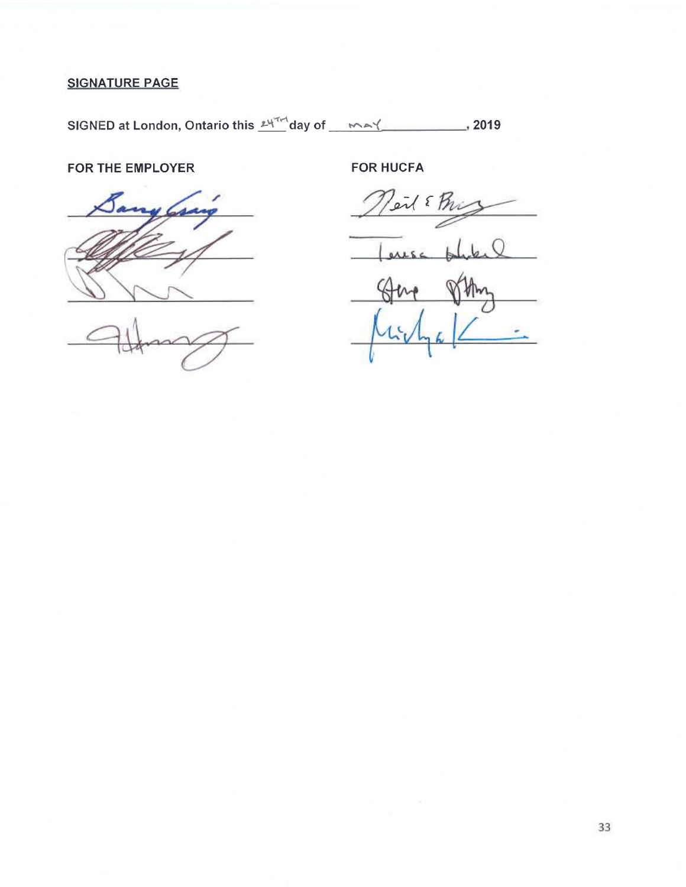# **SIGNATURE PAGE**

SIGNED at London, Ontario this <u>Lyndon</u> day of <u>Analynsen 1999</u>, 2019

## FOR THE EMPLOYER



**FOR HUCFA** 

eil & Phi

 $ALSC$ 

33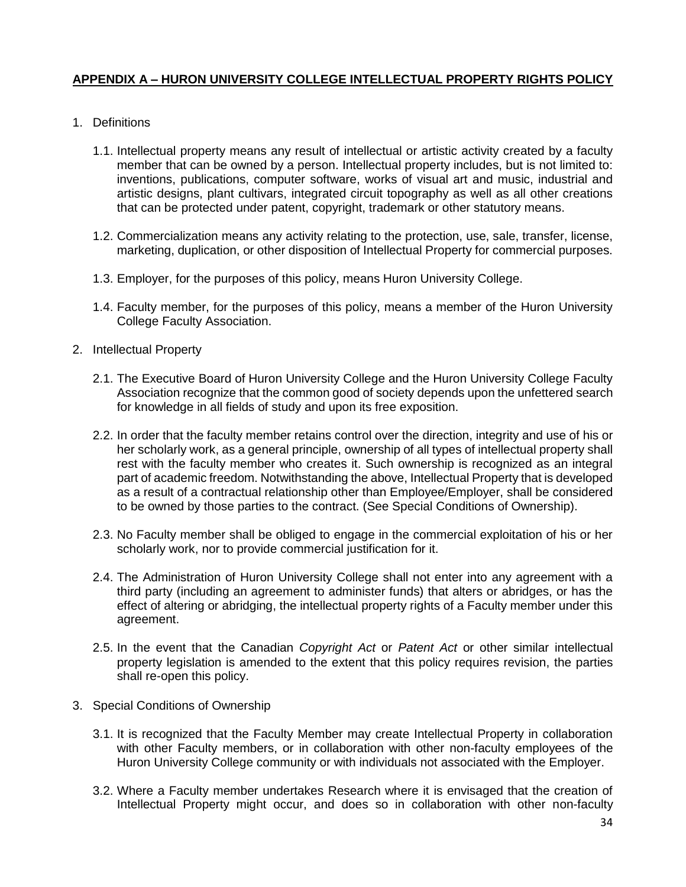### **APPENDIX A – HURON UNIVERSITY COLLEGE INTELLECTUAL PROPERTY RIGHTS POLICY**

- 1. Definitions
	- 1.1. Intellectual property means any result of intellectual or artistic activity created by a faculty member that can be owned by a person. Intellectual property includes, but is not limited to: inventions, publications, computer software, works of visual art and music, industrial and artistic designs, plant cultivars, integrated circuit topography as well as all other creations that can be protected under patent, copyright, trademark or other statutory means.
	- 1.2. Commercialization means any activity relating to the protection, use, sale, transfer, license, marketing, duplication, or other disposition of Intellectual Property for commercial purposes.
	- 1.3. Employer, for the purposes of this policy, means Huron University College.
	- 1.4. Faculty member, for the purposes of this policy, means a member of the Huron University College Faculty Association.
- 2. Intellectual Property
	- 2.1. The Executive Board of Huron University College and the Huron University College Faculty Association recognize that the common good of society depends upon the unfettered search for knowledge in all fields of study and upon its free exposition.
	- 2.2. In order that the faculty member retains control over the direction, integrity and use of his or her scholarly work, as a general principle, ownership of all types of intellectual property shall rest with the faculty member who creates it. Such ownership is recognized as an integral part of academic freedom. Notwithstanding the above, Intellectual Property that is developed as a result of a contractual relationship other than Employee/Employer, shall be considered to be owned by those parties to the contract. (See Special Conditions of Ownership).
	- 2.3. No Faculty member shall be obliged to engage in the commercial exploitation of his or her scholarly work, nor to provide commercial justification for it.
	- 2.4. The Administration of Huron University College shall not enter into any agreement with a third party (including an agreement to administer funds) that alters or abridges, or has the effect of altering or abridging, the intellectual property rights of a Faculty member under this agreement.
	- 2.5. In the event that the Canadian *Copyright Act* or *Patent Act* or other similar intellectual property legislation is amended to the extent that this policy requires revision, the parties shall re-open this policy.
- 3. Special Conditions of Ownership
	- 3.1. It is recognized that the Faculty Member may create Intellectual Property in collaboration with other Faculty members, or in collaboration with other non-faculty employees of the Huron University College community or with individuals not associated with the Employer.
	- 3.2. Where a Faculty member undertakes Research where it is envisaged that the creation of Intellectual Property might occur, and does so in collaboration with other non-faculty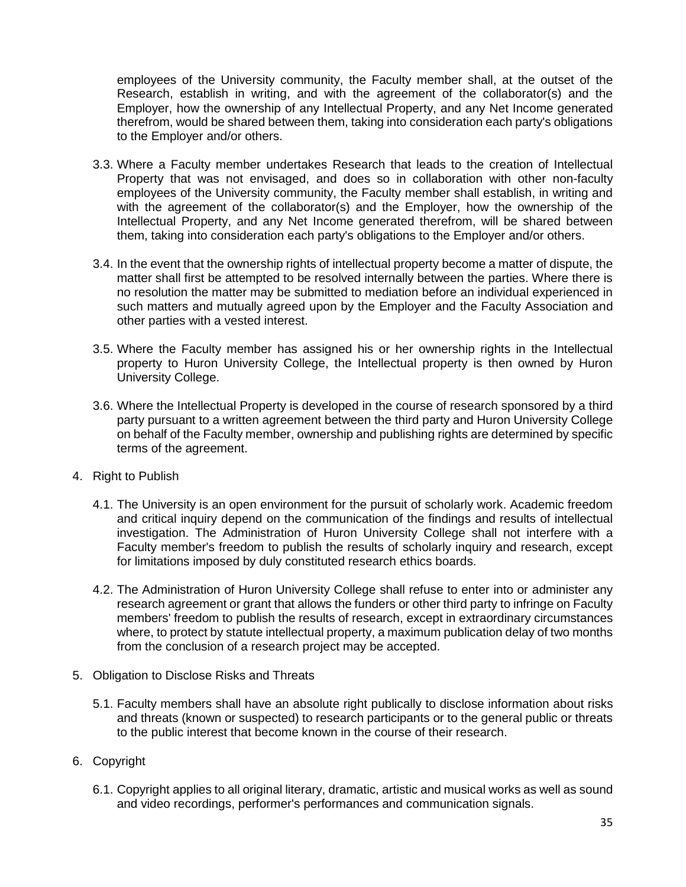employees of the University community, the Faculty member shall, at the outset of the Research, establish in writing, and with the agreement of the collaborator(s) and the Employer, how the ownership of any Intellectual Property, and any Net Income generated therefrom, would be shared between them, taking into consideration each party's obligations to the Employer and/or others.

- 3.3. Where a Faculty member undertakes Research that leads to the creation of Intellectual Property that was not envisaged, and does so in collaboration with other non-faculty employees of the University community, the Faculty member shall establish, in writing and with the agreement of the collaborator(s) and the Employer, how the ownership of the Intellectual Property, and any Net Income generated therefrom, will be shared between them, taking into consideration each party's obligations to the Employer and/or others.
- 3.4. In the event that the ownership rights of intellectual property become a matter of dispute, the matter shall first be attempted to be resolved internally between the parties. Where there is no resolution the matter may be submitted to mediation before an individual experienced in such matters and mutually agreed upon by the Employer and the Faculty Association and other parties with a vested interest.
- 3.5. Where the Faculty member has assigned his or her ownership rights in the Intellectual property to Huron University College, the Intellectual property is then owned by Huron University College.
- 3.6. Where the Intellectual Property is developed in the course of research sponsored by a third party pursuant to a written agreement between the third party and Huron University College on behalf of the Faculty member, ownership and publishing rights are determined by specific terms of the agreement.
- 4. Right to Publish
	- 4.1. The University is an open environment for the pursuit of scholarly work. Academic freedom and critical inquiry depend on the communication of the findings and results of intellectual investigation. The Administration of Huron University College shall not interfere with a Faculty member's freedom to publish the results of scholarly inquiry and research, except for limitations imposed by duly constituted research ethics boards.
	- 4.2. The Administration of Huron University College shall refuse to enter into or administer any research agreement or grant that allows the funders or other third party to infringe on Faculty members' freedom to publish the results of research, except in extraordinary circumstances where, to protect by statute intellectual property, a maximum publication delay of two months from the conclusion of a research project may be accepted.
- 5. Obligation to Disclose Risks and Threats
	- 5.1. Faculty members shall have an absolute right publically to disclose information about risks and threats (known or suspected) to research participants or to the general public or threats to the public interest that become known in the course of their research.
- 6. Copyright
	- 6.1. Copyright applies to all original literary, dramatic, artistic and musical works as well as sound and video recordings, performer's performances and communication signals.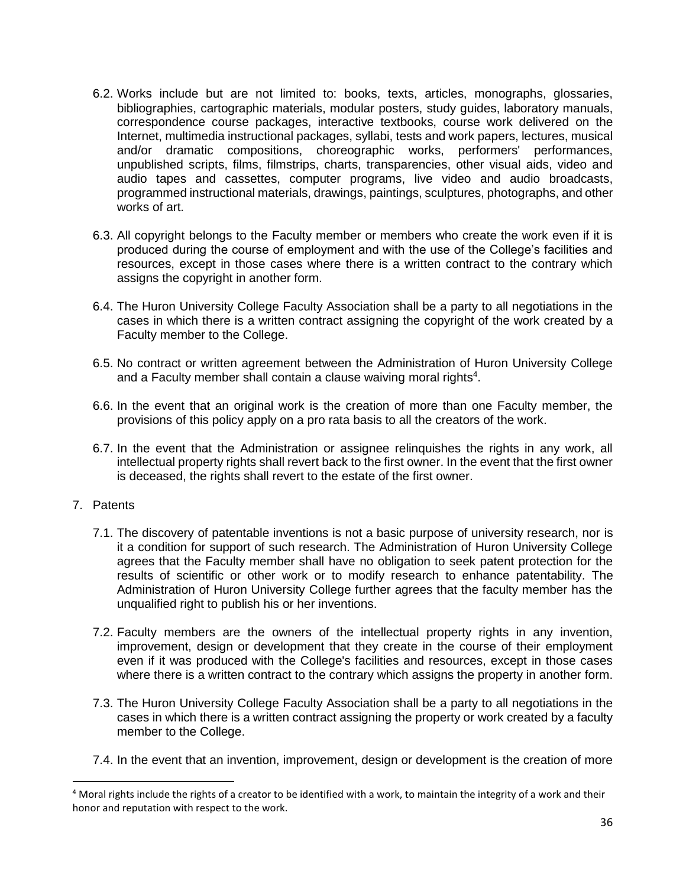- 6.2. Works include but are not limited to: books, texts, articles, monographs, glossaries, bibliographies, cartographic materials, modular posters, study guides, laboratory manuals, correspondence course packages, interactive textbooks, course work delivered on the Internet, multimedia instructional packages, syllabi, tests and work papers, lectures, musical and/or dramatic compositions, choreographic works, performers' performances, unpublished scripts, films, filmstrips, charts, transparencies, other visual aids, video and audio tapes and cassettes, computer programs, live video and audio broadcasts, programmed instructional materials, drawings, paintings, sculptures, photographs, and other works of art.
- 6.3. All copyright belongs to the Faculty member or members who create the work even if it is produced during the course of employment and with the use of the College's facilities and resources, except in those cases where there is a written contract to the contrary which assigns the copyright in another form.
- 6.4. The Huron University College Faculty Association shall be a party to all negotiations in the cases in which there is a written contract assigning the copyright of the work created by a Faculty member to the College.
- 6.5. No contract or written agreement between the Administration of Huron University College and a Faculty member shall contain a clause waiving moral rights $4$ .
- 6.6. In the event that an original work is the creation of more than one Faculty member, the provisions of this policy apply on a pro rata basis to all the creators of the work.
- 6.7. In the event that the Administration or assignee relinquishes the rights in any work, all intellectual property rights shall revert back to the first owner. In the event that the first owner is deceased, the rights shall revert to the estate of the first owner.
- 7. Patents

 $\overline{a}$ 

- 7.1. The discovery of patentable inventions is not a basic purpose of university research, nor is it a condition for support of such research. The Administration of Huron University College agrees that the Faculty member shall have no obligation to seek patent protection for the results of scientific or other work or to modify research to enhance patentability. The Administration of Huron University College further agrees that the faculty member has the unqualified right to publish his or her inventions.
- 7.2. Faculty members are the owners of the intellectual property rights in any invention, improvement, design or development that they create in the course of their employment even if it was produced with the College's facilities and resources, except in those cases where there is a written contract to the contrary which assigns the property in another form.
- 7.3. The Huron University College Faculty Association shall be a party to all negotiations in the cases in which there is a written contract assigning the property or work created by a faculty member to the College.
- 7.4. In the event that an invention, improvement, design or development is the creation of more

 $4$  Moral rights include the rights of a creator to be identified with a work, to maintain the integrity of a work and their honor and reputation with respect to the work.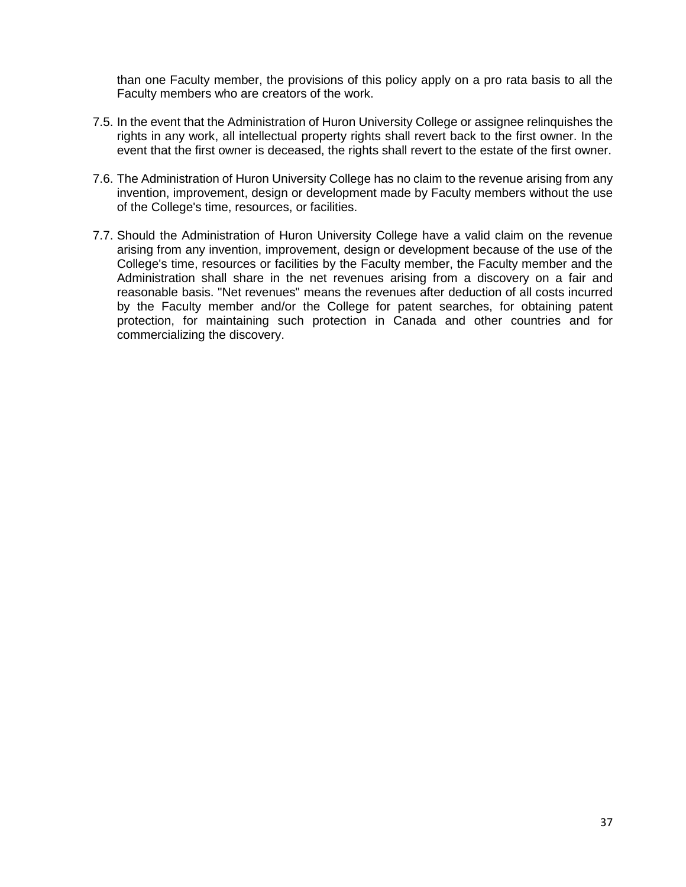than one Faculty member, the provisions of this policy apply on a pro rata basis to all the Faculty members who are creators of the work.

- 7.5. In the event that the Administration of Huron University College or assignee relinquishes the rights in any work, all intellectual property rights shall revert back to the first owner. In the event that the first owner is deceased, the rights shall revert to the estate of the first owner.
- 7.6. The Administration of Huron University College has no claim to the revenue arising from any invention, improvement, design or development made by Faculty members without the use of the College's time, resources, or facilities.
- <span id="page-36-1"></span><span id="page-36-0"></span>7.7. Should the Administration of Huron University College have a valid claim on the revenue arising from any invention, improvement, design or development because of the use of the College's time, resources or facilities by the Faculty member, the Faculty member and the Administration shall share in the net revenues arising from a discovery on a fair and reasonable basis. "Net revenues" means the revenues after deduction of all costs incurred by the Faculty member and/or the College for patent searches, for obtaining patent protection, for maintaining such protection in Canada and other countries and for commercializing the discovery.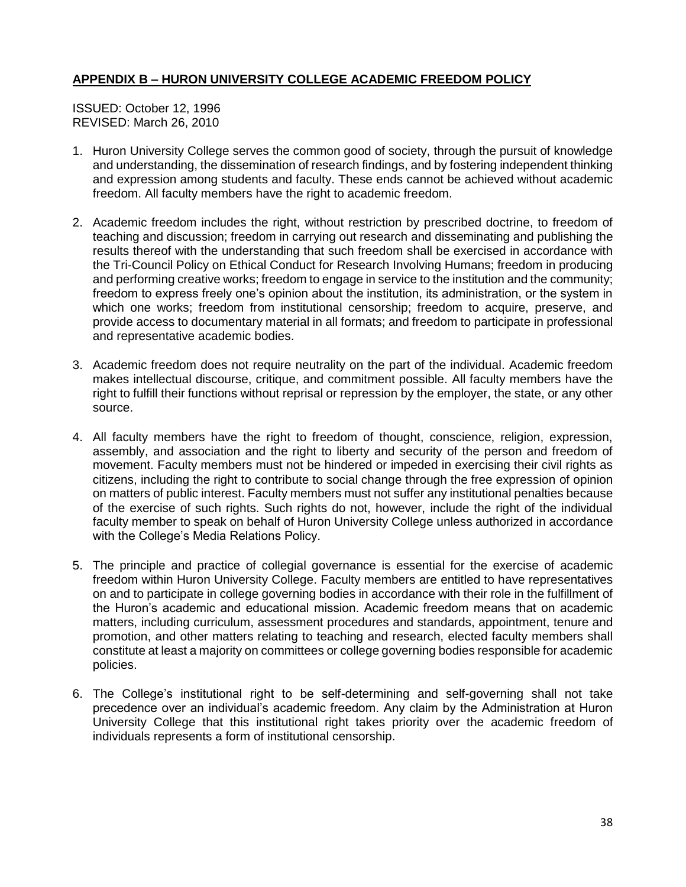### **APPENDIX B – HURON UNIVERSITY COLLEGE ACADEMIC FREEDOM POLICY**

ISSUED: October 12, 1996 REVISED: March 26, 2010

- 1. Huron University College serves the common good of society, through the pursuit of knowledge and understanding, the dissemination of research findings, and by fostering independent thinking and expression among students and faculty. These ends cannot be achieved without academic freedom. All faculty members have the right to academic freedom.
- 2. Academic freedom includes the right, without restriction by prescribed doctrine, to freedom of teaching and discussion; freedom in carrying out research and disseminating and publishing the results thereof with the understanding that such freedom shall be exercised in accordance with the Tri-Council Policy on Ethical Conduct for Research Involving Humans; freedom in producing and performing creative works; freedom to engage in service to the institution and the community; freedom to express freely one's opinion about the institution, its administration, or the system in which one works; freedom from institutional censorship; freedom to acquire, preserve, and provide access to documentary material in all formats; and freedom to participate in professional and representative academic bodies.
- 3. Academic freedom does not require neutrality on the part of the individual. Academic freedom makes intellectual discourse, critique, and commitment possible. All faculty members have the right to fulfill their functions without reprisal or repression by the employer, the state, or any other source.
- 4. All faculty members have the right to freedom of thought, conscience, religion, expression, assembly, and association and the right to liberty and security of the person and freedom of movement. Faculty members must not be hindered or impeded in exercising their civil rights as citizens, including the right to contribute to social change through the free expression of opinion on matters of public interest. Faculty members must not suffer any institutional penalties because of the exercise of such rights. Such rights do not, however, include the right of the individual faculty member to speak on behalf of Huron University College unless authorized in accordance with the College's Media Relations Policy.
- 5. The principle and practice of collegial governance is essential for the exercise of academic freedom within Huron University College. Faculty members are entitled to have representatives on and to participate in college governing bodies in accordance with their role in the fulfillment of the Huron's academic and educational mission. Academic freedom means that on academic matters, including curriculum, assessment procedures and standards, appointment, tenure and promotion, and other matters relating to teaching and research, elected faculty members shall constitute at least a majority on committees or college governing bodies responsible for academic policies.
- 6. The College's institutional right to be self-determining and self-governing shall not take precedence over an individual's academic freedom. Any claim by the Administration at Huron University College that this institutional right takes priority over the academic freedom of individuals represents a form of institutional censorship.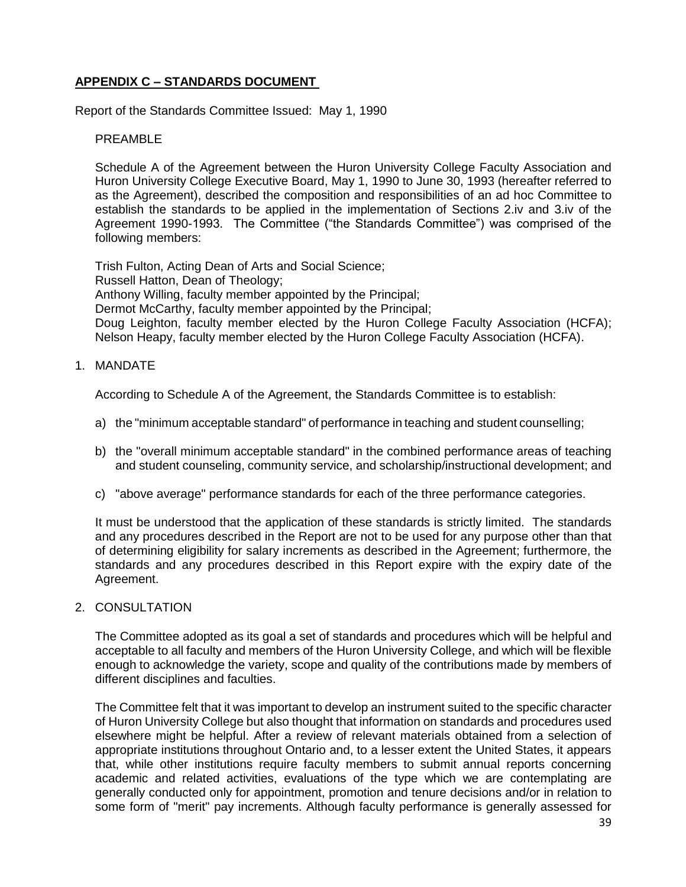### <span id="page-38-0"></span>**APPENDIX C – STANDARDS DOCUMENT**

Report of the Standards Committee Issued: May 1, 1990

### PRFAMBL<sub>F</sub>

Schedule A of the Agreement between the Huron University College Faculty Association and Huron University College Executive Board, May 1, 1990 to June 30, 1993 (hereafter referred to as the Agreement), described the composition and responsibilities of an ad hoc Committee to establish the standards to be applied in the implementation of Sections 2.iv and 3.iv of the Agreement 1990-1993. The Committee ("the Standards Committee") was comprised of the following members:

Trish Fulton, Acting Dean of Arts and Social Science; Russell Hatton, Dean of Theology; Anthony Willing, faculty member appointed by the Principal; Dermot McCarthy, faculty member appointed by the Principal; Doug Leighton, faculty member elected by the Huron College Faculty Association (HCFA); Nelson Heapy, faculty member elected by the Huron College Faculty Association (HCFA).

1. MANDATE

According to Schedule A of the Agreement, the Standards Committee is to establish:

- a) the "minimum acceptable standard" of performance in teaching and student counselling;
- b) the "overall minimum acceptable standard" in the combined performance areas of teaching and student counseling, community service, and scholarship/instructional development; and
- c) "above average" performance standards for each of the three performance categories.

It must be understood that the application of these standards is strictly limited. The standards and any procedures described in the Report are not to be used for any purpose other than that of determining eligibility for salary increments as described in the Agreement; furthermore, the standards and any procedures described in this Report expire with the expiry date of the Agreement.

2. CONSULTATION

The Committee adopted as its goal a set of standards and procedures which will be helpful and acceptable to all faculty and members of the Huron University College, and which will be flexible enough to acknowledge the variety, scope and quality of the contributions made by members of different disciplines and faculties.

The Committee felt that it was important to develop an instrument suited to the specific character of Huron University College but also thought that information on standards and procedures used elsewhere might be helpful. After a review of relevant materials obtained from a selection of appropriate institutions throughout Ontario and, to a lesser extent the United States, it appears that, while other institutions require faculty members to submit annual reports concerning academic and related activities, evaluations of the type which we are contemplating are generally conducted only for appointment, promotion and tenure decisions and/or in relation to some form of "merit" pay increments. Although faculty performance is generally assessed for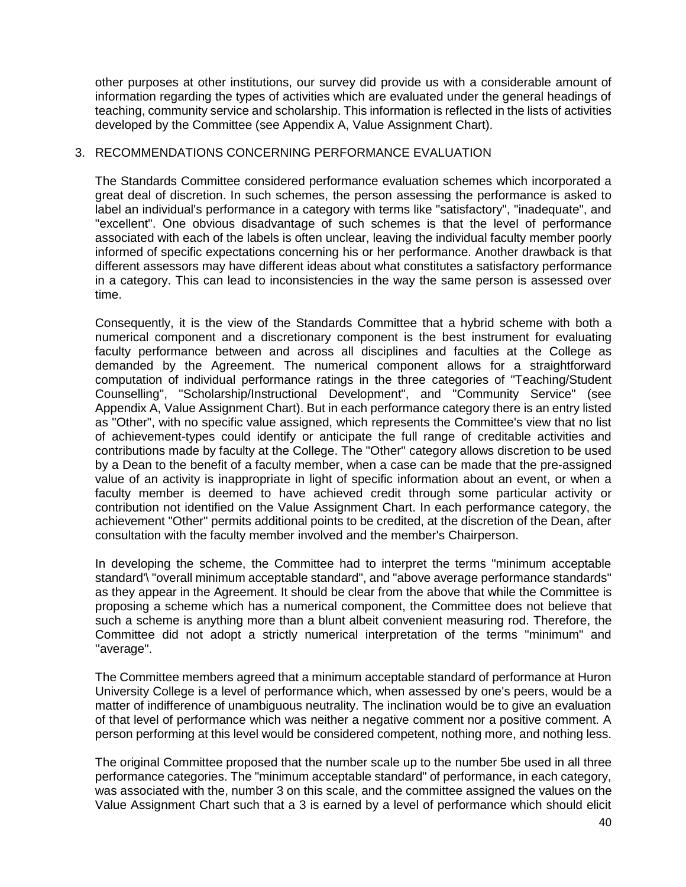other purposes at other institutions, our survey did provide us with a considerable amount of information regarding the types of activities which are evaluated under the general headings of teaching, community service and scholarship. This information is reflected in the lists of activities developed by the Committee (see Appendix A, Value Assignment Chart).

#### 3. RECOMMENDATIONS CONCERNING PERFORMANCE EVALUATION

The Standards Committee considered performance evaluation schemes which incorporated a great deal of discretion. In such schemes, the person assessing the performance is asked to label an individual's performance in a category with terms like "satisfactory", "inadequate", and "excellent". One obvious disadvantage of such schemes is that the level of performance associated with each of the labels is often unclear, leaving the individual faculty member poorly informed of specific expectations concerning his or her performance. Another drawback is that different assessors may have different ideas about what constitutes a satisfactory performance in a category. This can lead to inconsistencies in the way the same person is assessed over time.

Consequently, it is the view of the Standards Committee that a hybrid scheme with both a numerical component and a discretionary component is the best instrument for evaluating faculty performance between and across all disciplines and faculties at the College as demanded by the Agreement. The numerical component allows for a straightforward computation of individual performance ratings in the three categories of "Teaching/Student Counselling", "Scholarship/Instructional Development", and "Community Service" (see Appendix A, Value Assignment Chart). But in each performance category there is an entry listed as "Other", with no specific value assigned, which represents the Committee's view that no list of achievement-types could identify or anticipate the full range of creditable activities and contributions made by faculty at the College. The "Other'' category allows discretion to be used by a Dean to the benefit of a faculty member, when a case can be made that the pre-assigned value of an activity is inappropriate in light of specific information about an event, or when a faculty member is deemed to have achieved credit through some particular activity or contribution not identified on the Value Assignment Chart. In each performance category, the achievement "Other" permits additional points to be credited, at the discretion of the Dean, after consultation with the faculty member involved and the member's Chairperson.

In developing the scheme, the Committee had to interpret the terms "minimum acceptable standard'\ "overall minimum acceptable standard", and "above average performance standards" as they appear in the Agreement. It should be clear from the above that while the Committee is proposing a scheme which has a numerical component, the Committee does not believe that such a scheme is anything more than a blunt albeit convenient measuring rod. Therefore, the Committee did not adopt a strictly numerical interpretation of the terms "minimum" and ''average".

The Committee members agreed that a minimum acceptable standard of performance at Huron University College is a level of performance which, when assessed by one's peers, would be a matter of indifference of unambiguous neutrality. The inclination would be to give an evaluation of that level of performance which was neither a negative comment nor a positive comment. A person performing at this level would be considered competent, nothing more, and nothing less.

The original Committee proposed that the number scale up to the number 5be used in all three performance categories. The "minimum acceptable standard" of performance, in each category, was associated with the, number 3 on this scale, and the committee assigned the values on the Value Assignment Chart such that a 3 is earned by a level of performance which should elicit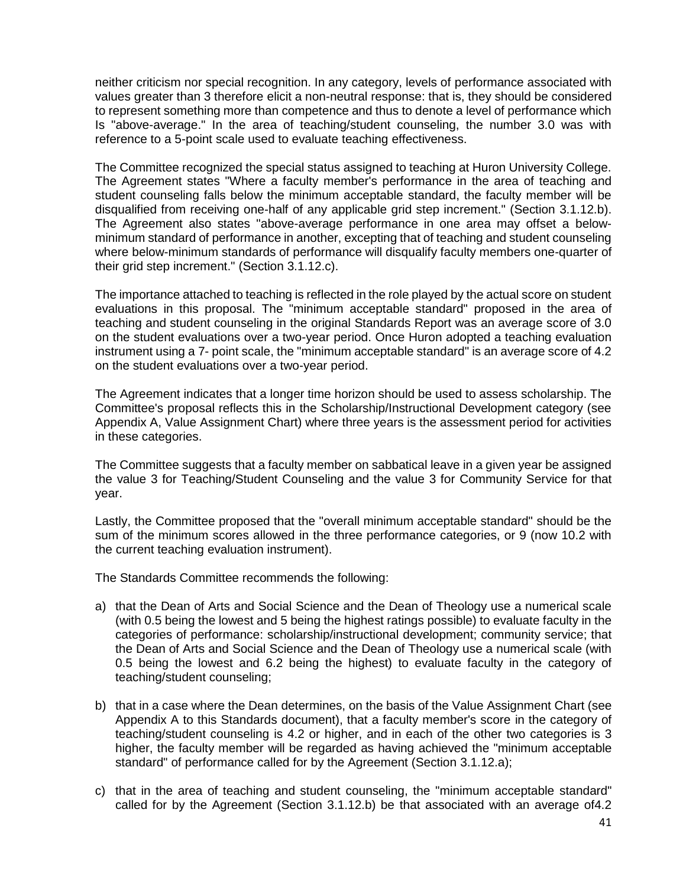neither criticism nor special recognition. In any category, levels of performance associated with values greater than 3 therefore elicit a non-neutral response: that is, they should be considered to represent something more than competence and thus to denote a level of performance which Is "above-average." In the area of teaching/student counseling, the number 3.0 was with reference to a 5-point scale used to evaluate teaching effectiveness.

The Committee recognized the special status assigned to teaching at Huron University College. The Agreement states "Where a faculty member's performance in the area of teaching and student counseling falls below the minimum acceptable standard, the faculty member will be disqualified from receiving one-half of any applicable grid step increment." (Section 3.1.12.b). The Agreement also states "above-average performance in one area may offset a belowminimum standard of performance in another, excepting that of teaching and student counseling where below-minimum standards of performance will disqualify faculty members one-quarter of their grid step increment." (Section 3.1.12.c).

The importance attached to teaching is reflected in the role played by the actual score on student evaluations in this proposal. The "minimum acceptable standard" proposed in the area of teaching and student counseling in the original Standards Report was an average score of 3.0 on the student evaluations over a two-year period. Once Huron adopted a teaching evaluation instrument using a 7- point scale, the "minimum acceptable standard" is an average score of 4.2 on the student evaluations over a two-year period.

The Agreement indicates that a longer time horizon should be used to assess scholarship. The Committee's proposal reflects this in the Scholarship/Instructional Development category (see Appendix A, Value Assignment Chart) where three years is the assessment period for activities in these categories.

The Committee suggests that a faculty member on sabbatical leave in a given year be assigned the value 3 for Teaching/Student Counseling and the value 3 for Community Service for that year.

Lastly, the Committee proposed that the "overall minimum acceptable standard" should be the sum of the minimum scores allowed in the three performance categories, or 9 (now 10.2 with the current teaching evaluation instrument).

The Standards Committee recommends the following:

- a) that the Dean of Arts and Social Science and the Dean of Theology use a numerical scale (with 0.5 being the lowest and 5 being the highest ratings possible) to evaluate faculty in the categories of performance: scholarship/instructional development; community service; that the Dean of Arts and Social Science and the Dean of Theology use a numerical scale (with 0.5 being the lowest and 6.2 being the highest) to evaluate faculty in the category of teaching/student counseling;
- b) that in a case where the Dean determines, on the basis of the Value Assignment Chart (see Appendix A to this Standards document), that a faculty member's score in the category of teaching/student counseling is 4.2 or higher, and in each of the other two categories is 3 higher, the faculty member will be regarded as having achieved the "minimum acceptable standard" of performance called for by the Agreement (Section 3.1.12.a);
- c) that in the area of teaching and student counseling, the "minimum acceptable standard" called for by the Agreement (Section 3.1.12.b) be that associated with an average of4.2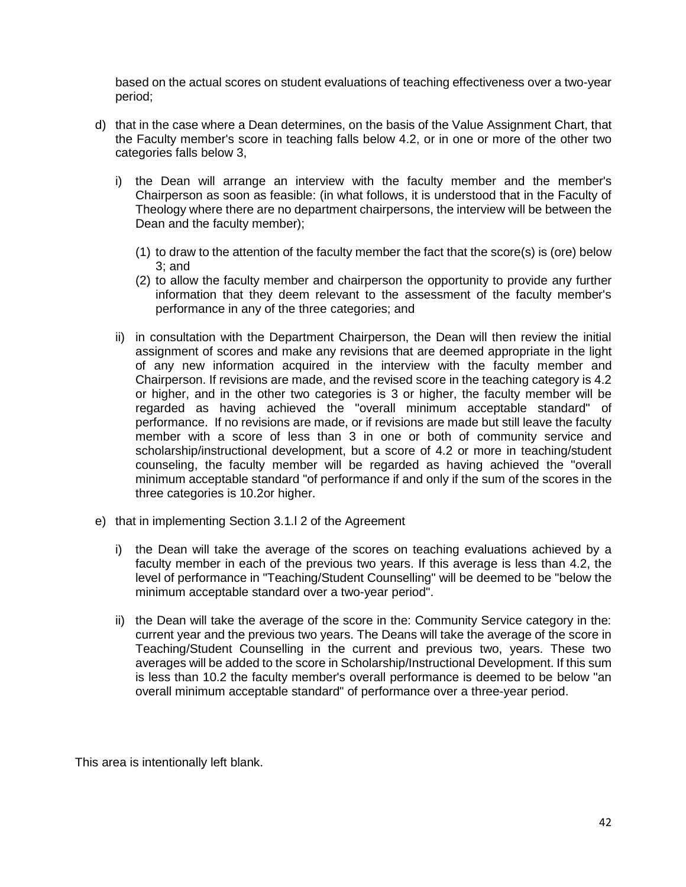based on the actual scores on student evaluations of teaching effectiveness over a two-year period;

- d) that in the case where a Dean determines, on the basis of the Value Assignment Chart, that the Faculty member's score in teaching falls below 4.2, or in one or more of the other two categories falls below 3,
	- i) the Dean will arrange an interview with the faculty member and the member's Chairperson as soon as feasible: (in what follows, it is understood that in the Faculty of Theology where there are no department chairpersons, the interview will be between the Dean and the faculty member);
		- (1) to draw to the attention of the faculty member the fact that the score(s) is (ore) below 3; and
		- (2) to allow the faculty member and chairperson the opportunity to provide any further information that they deem relevant to the assessment of the faculty member's performance in any of the three categories; and
	- ii) in consultation with the Department Chairperson, the Dean will then review the initial assignment of scores and make any revisions that are deemed appropriate in the light of any new information acquired in the interview with the faculty member and Chairperson. If revisions are made, and the revised score in the teaching category is 4.2 or higher, and in the other two categories is 3 or higher, the faculty member will be regarded as having achieved the "overall minimum acceptable standard" of performance. If no revisions are made, or if revisions are made but still leave the faculty member with a score of less than 3 in one or both of community service and scholarship/instructional development, but a score of 4.2 or more in teaching/student counseling, the faculty member will be regarded as having achieved the "overall minimum acceptable standard "of performance if and only if the sum of the scores in the three categories is 10.2or higher.
- e) that in implementing Section 3.1.l 2 of the Agreement
	- i) the Dean will take the average of the scores on teaching evaluations achieved by a faculty member in each of the previous two years. If this average is less than 4.2, the level of performance in "Teaching/Student Counselling" will be deemed to be "below the minimum acceptable standard over a two-year period".
	- ii) the Dean will take the average of the score in the: Community Service category in the: current year and the previous two years. The Deans will take the average of the score in Teaching/Student Counselling in the current and previous two, years. These two averages will be added to the score in Scholarship/Instructional Development. If this sum is less than 10.2 the faculty member's overall performance is deemed to be below "an overall minimum acceptable standard" of performance over a three-year period.

This area is intentionally left blank.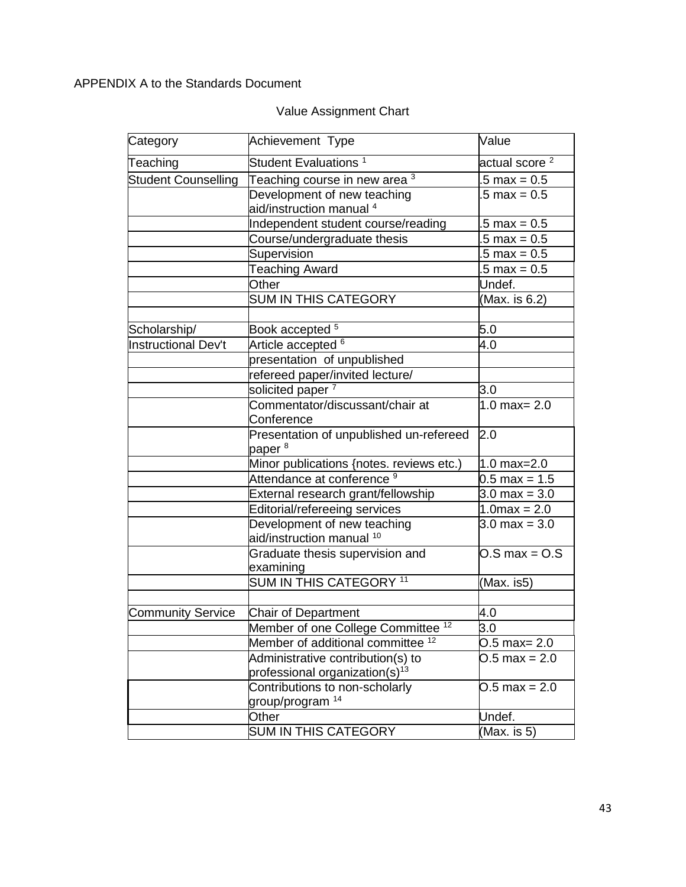# APPENDIX A to the Standards Document

# Value Assignment Chart

| Category                   | Achievement Type                              | Value                     |
|----------------------------|-----------------------------------------------|---------------------------|
| Teaching                   | Student Evaluations <sup>1</sup>              | actual score <sup>2</sup> |
| <b>Student Counselling</b> | Teaching course in new area 3                 | $.5 \text{ max} = 0.5$    |
|                            | Development of new teaching                   | $.5 \text{ max} = 0.5$    |
|                            | aid/instruction manual 4                      |                           |
|                            | Independent student course/reading            | $.5 \text{ max} = 0.5$    |
|                            | Course/undergraduate thesis                   | $.5 \text{ max} = 0.5$    |
|                            | Supervision                                   | $.5 \text{ max} = 0.5$    |
|                            | <b>Teaching Award</b>                         | $.5 \text{ max} = 0.5$    |
|                            | Other                                         | Undef.                    |
|                            | <b>SUM IN THIS CATEGORY</b>                   | (Max. is 6.2)             |
| Scholarship/               | Book accepted <sup>5</sup>                    | 5.0                       |
| <b>Instructional Dev't</b> | Article accepted <sup>6</sup>                 | 4.0                       |
|                            | presentation of unpublished                   |                           |
|                            | refereed paper/invited lecture/               |                           |
|                            | solicited paper <sup>7</sup>                  | 3.0                       |
|                            | Commentator/discussant/chair at               | $1.0 \text{ max} = 2.0$   |
|                            | Conference                                    |                           |
|                            | Presentation of unpublished un-refereed       | 2.0                       |
|                            | paper <sup>8</sup>                            |                           |
|                            | Minor publications {notes. reviews etc.)      | $1.0 \text{ max} = 2.0$   |
|                            | Attendance at conference <sup>9</sup>         | $0.5 \text{ max} = 1.5$   |
|                            | External research grant/fellowship            | $3.0 \text{ max} = 3.0$   |
|                            | Editorial/refereeing services                 | $1.0 \text{max} = 2.0$    |
|                            | Development of new teaching                   | $3.0 \text{ max} = 3.0$   |
|                            | aid/instruction manual <sup>10</sup>          |                           |
|                            | Graduate thesis supervision and               | $0.$ S max = $0.$ S       |
|                            | examining                                     |                           |
|                            | SUM IN THIS CATEGORY <sup>11</sup>            | (Max. is5)                |
|                            |                                               |                           |
| <b>Community Service</b>   | <b>Chair of Department</b>                    | 4.0                       |
|                            | Member of one College Committee <sup>12</sup> | 3.0                       |
|                            | Member of additional committee <sup>12</sup>  | $0.5$ max= 2.0            |
|                            | Administrative contribution(s) to             | $0.5$ max = 2.0           |
|                            | professional organization(s) $13$             |                           |
|                            | Contributions to non-scholarly                | $0.5 \text{ max} = 2.0$   |
|                            | group/program <sup>14</sup>                   |                           |
|                            | Other                                         | Undef.                    |
|                            | <b>SUM IN THIS CATEGORY</b>                   | (Max. is 5)               |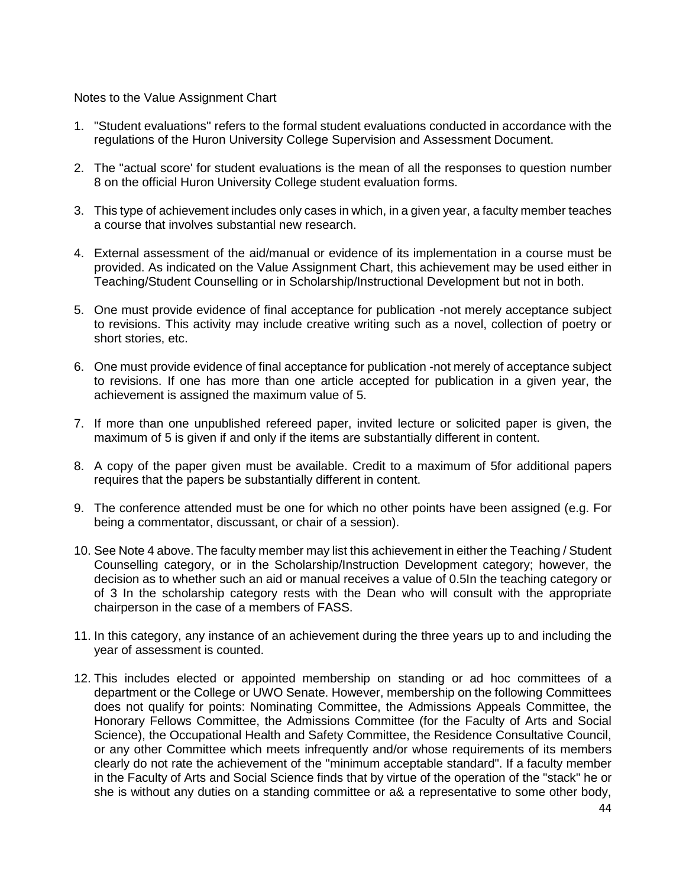Notes to the Value Assignment Chart

- 1. "Student evaluations'' refers to the formal student evaluations conducted in accordance with the regulations of the Huron University College Supervision and Assessment Document.
- 2. The "actual score' for student evaluations is the mean of all the responses to question number 8 on the official Huron University College student evaluation forms.
- 3. This type of achievement includes only cases in which, in a given year, a faculty member teaches a course that involves substantial new research.
- 4. External assessment of the aid/manual or evidence of its implementation in a course must be provided. As indicated on the Value Assignment Chart, this achievement may be used either in Teaching/Student Counselling or in Scholarship/Instructional Development but not in both.
- 5. One must provide evidence of final acceptance for publication -not merely acceptance subject to revisions. This activity may include creative writing such as a novel, collection of poetry or short stories, etc.
- 6. One must provide evidence of final acceptance for publication -not merely of acceptance subject to revisions. If one has more than one article accepted for publication in a given year, the achievement is assigned the maximum value of 5.
- 7. If more than one unpublished refereed paper, invited lecture or solicited paper is given, the maximum of 5 is given if and only if the items are substantially different in content.
- 8. A copy of the paper given must be available. Credit to a maximum of 5for additional papers requires that the papers be substantially different in content.
- 9. The conference attended must be one for which no other points have been assigned (e.g. For being a commentator, discussant, or chair of a session).
- 10. See Note 4 above. The faculty member may list this achievement in either the Teaching / Student Counselling category, or in the Scholarship/Instruction Development category; however, the decision as to whether such an aid or manual receives a value of 0.5In the teaching category or of 3 In the scholarship category rests with the Dean who will consult with the appropriate chairperson in the case of a members of FASS.
- 11. In this category, any instance of an achievement during the three years up to and including the year of assessment is counted.
- 12. This includes elected or appointed membership on standing or ad hoc committees of a department or the College or UWO Senate. However, membership on the following Committees does not qualify for points: Nominating Committee, the Admissions Appeals Committee, the Honorary Fellows Committee, the Admissions Committee (for the Faculty of Arts and Social Science), the Occupational Health and Safety Committee, the Residence Consultative Council, or any other Committee which meets infrequently and/or whose requirements of its members clearly do not rate the achievement of the ''minimum acceptable standard". If a faculty member in the Faculty of Arts and Social Science finds that by virtue of the operation of the "stack" he or she is without any duties on a standing committee or a& a representative to some other body,